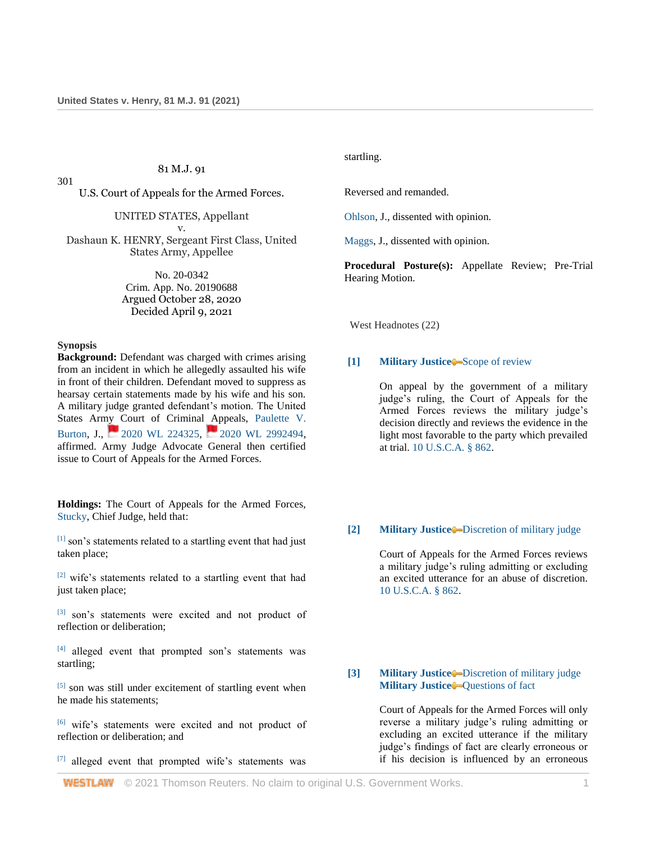# 81 M.J. 91

301

U.S. Court of Appeals for the Armed Forces.

UNITED STATES, Appellant v.

Dashaun K. HENRY, Sergeant First Class, United States Army, Appellee

> No. 20-0342 Crim. App. No. 20190688 Argued October 28, 2020 Decided April 9, 2021

# **Synopsis**

**Background:** Defendant was charged with crimes arising from an incident in which he allegedly assaulted his wife in front of their children. Defendant moved to suppress as hearsay certain statements made by his wife and his son. A military judge granted defendant's motion. The United States Army Court of Criminal Appeals, [Paulette V.](http://www.westlaw.com/Link/Document/FullText?findType=h&pubNum=176284&cite=0140372201&originatingDoc=Ief4a0b509c8611ebb59191cef82ec18e&refType=RQ&originationContext=document&vr=3.0&rs=cblt1.0&transitionType=DocumentItem&contextData=(sc.UserEnteredCitation))  [Burton,](http://www.westlaw.com/Link/Document/FullText?findType=h&pubNum=176284&cite=0140372201&originatingDoc=Ief4a0b509c8611ebb59191cef82ec18e&refType=RQ&originationContext=document&vr=3.0&rs=cblt1.0&transitionType=DocumentItem&contextData=(sc.UserEnteredCitation))J., **[2020 WL 224325,](http://www.westlaw.com/Link/Document/FullText?findType=Y&serNum=2050133793&pubNum=0000999&originatingDoc=Ief4a0b509c8611ebb59191cef82ec18e&refType=RP&originationContext=document&vr=3.0&rs=cblt1.0&transitionType=DocumentItem&contextData=(sc.UserEnteredCitation)) [2020 WL 2992494,](http://www.westlaw.com/Link/Document/FullText?findType=Y&serNum=2051198104&pubNum=0000999&originatingDoc=Ief4a0b509c8611ebb59191cef82ec18e&refType=RP&originationContext=document&vr=3.0&rs=cblt1.0&transitionType=DocumentItem&contextData=(sc.UserEnteredCitation))** affirmed. Army Judge Advocate General then certified issue to Court of Appeals for the Armed Forces.

**Holdings:** The Court of Appeals for the Armed Forces, [Stucky,](http://www.westlaw.com/Link/Document/FullText?findType=h&pubNum=176284&cite=0398498501&originatingDoc=Ief4a0b509c8611ebb59191cef82ec18e&refType=RQ&originationContext=document&vr=3.0&rs=cblt1.0&transitionType=DocumentItem&contextData=(sc.UserEnteredCitation)) Chief Judge, held that:

 $[1]$  son's statements related to a startling event that had just taken place;

[2] wife's statements related to a startling event that had just taken place;

[3] son's statements were excited and not product of reflection or deliberation;

[4] alleged event that prompted son's statements was startling;

[5] son was still under excitement of startling event when he made his statements;

[6] wife's statements were excited and not product of reflection or deliberation; and

[7] alleged event that prompted wife's statements was

startling.

Reversed and remanded.

[Ohlson,](http://www.westlaw.com/Link/Document/FullText?findType=h&pubNum=176284&cite=0208480901&originatingDoc=Ief4a0b509c8611ebb59191cef82ec18e&refType=RQ&originationContext=document&vr=3.0&rs=cblt1.0&transitionType=DocumentItem&contextData=(sc.UserEnteredCitation)) J., dissented with opinion.

[Maggs,](http://www.westlaw.com/Link/Document/FullText?findType=h&pubNum=176284&cite=0457549401&originatingDoc=Ief4a0b509c8611ebb59191cef82ec18e&refType=RQ&originationContext=document&vr=3.0&rs=cblt1.0&transitionType=DocumentItem&contextData=(sc.UserEnteredCitation)) J., dissented with opinion.

**Procedural Posture(s):** Appellate Review; Pre-Trial Hearing Motion.

West Headnotes (22)

### **[1] [Military Justice](http://www.westlaw.com/Browse/Home/KeyNumber/258A/View.html?docGuid=Ief4a0b509c8611ebb59191cef82ec18e&originationContext=document&vr=3.0&rs=cblt1.0&transitionType=DocumentItem&contextData=(sc.UserEnteredCitation))** [Scope of review](http://www.westlaw.com/Browse/Home/KeyNumber/258Ak1451/View.html?docGuid=Ief4a0b509c8611ebb59191cef82ec18e&originationContext=document&vr=3.0&rs=cblt1.0&transitionType=DocumentItem&contextData=(sc.UserEnteredCitation))

On appeal by the government of a military judge's ruling, the Court of Appeals for the Armed Forces reviews the military judge's decision directly and reviews the evidence in the light most favorable to the party which prevailed at trial. [10 U.S.C.A. § 862.](http://www.westlaw.com/Link/Document/FullText?findType=L&pubNum=1000546&cite=10USCAS862&originatingDoc=Ief4a0b509c8611ebb59191cef82ec18e&refType=LQ&originationContext=document&vr=3.0&rs=cblt1.0&transitionType=DocumentItem&contextData=(sc.UserEnteredCitation))

### **[2] [Military Justice](http://www.westlaw.com/Browse/Home/KeyNumber/258A/View.html?docGuid=Ief4a0b509c8611ebb59191cef82ec18e&originationContext=document&vr=3.0&rs=cblt1.0&transitionType=DocumentItem&contextData=(sc.UserEnteredCitation))** [Discretion of military judge](http://www.westlaw.com/Browse/Home/KeyNumber/258Ak1420/View.html?docGuid=Ief4a0b509c8611ebb59191cef82ec18e&originationContext=document&vr=3.0&rs=cblt1.0&transitionType=DocumentItem&contextData=(sc.UserEnteredCitation))

Court of Appeals for the Armed Forces reviews a military judge's ruling admitting or excluding an excited utterance for an abuse of discretion. [10 U.S.C.A. § 862.](http://www.westlaw.com/Link/Document/FullText?findType=L&pubNum=1000546&cite=10USCAS862&originatingDoc=Ief4a0b509c8611ebb59191cef82ec18e&refType=LQ&originationContext=document&vr=3.0&rs=cblt1.0&transitionType=DocumentItem&contextData=(sc.UserEnteredCitation))

**[3] [Military Justice](http://www.westlaw.com/Browse/Home/KeyNumber/258A/View.html?docGuid=Ief4a0b509c8611ebb59191cef82ec18e&originationContext=document&vr=3.0&rs=cblt1.0&transitionType=DocumentItem&contextData=(sc.UserEnteredCitation))** [Discretion of military judge](http://www.westlaw.com/Browse/Home/KeyNumber/258Ak1420/View.html?docGuid=Ief4a0b509c8611ebb59191cef82ec18e&originationContext=document&vr=3.0&rs=cblt1.0&transitionType=DocumentItem&contextData=(sc.UserEnteredCitation)) **[Military Justice](http://www.westlaw.com/Browse/Home/KeyNumber/258A/View.html?docGuid=Ief4a0b509c8611ebb59191cef82ec18e&originationContext=document&vr=3.0&rs=cblt1.0&transitionType=DocumentItem&contextData=(sc.UserEnteredCitation))** [Questions of fact](http://www.westlaw.com/Browse/Home/KeyNumber/258Ak1422/View.html?docGuid=Ief4a0b509c8611ebb59191cef82ec18e&originationContext=document&vr=3.0&rs=cblt1.0&transitionType=DocumentItem&contextData=(sc.UserEnteredCitation))

> Court of Appeals for the Armed Forces will only reverse a military judge's ruling admitting or excluding an excited utterance if the military judge's findings of fact are clearly erroneous or if his decision is influenced by an erroneous

**WESTLAW** © 2021 Thomson Reuters. No claim to original U.S. Government Works. 1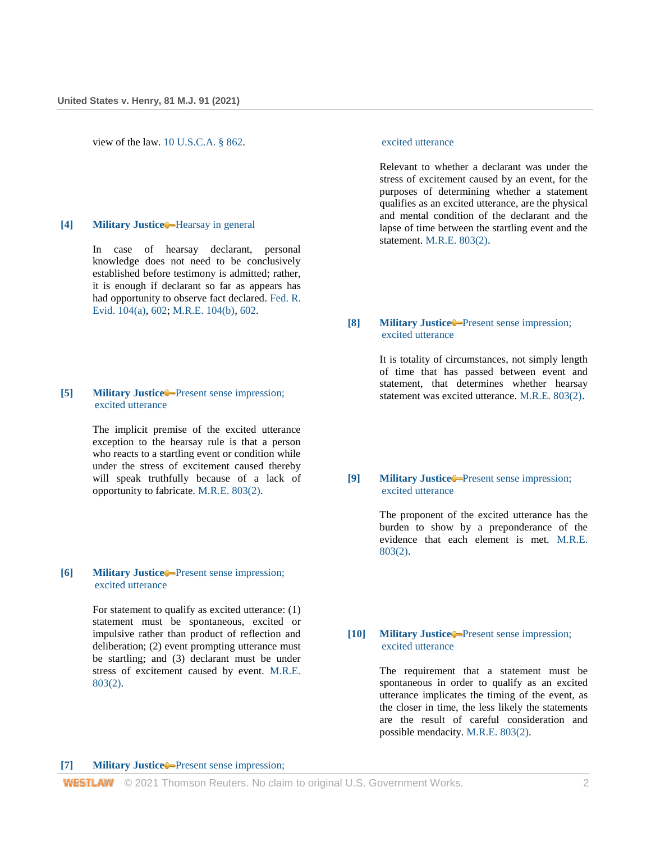view of the law. [10 U.S.C.A. § 862.](http://www.westlaw.com/Link/Document/FullText?findType=L&pubNum=1000546&cite=10USCAS862&originatingDoc=Ief4a0b509c8611ebb59191cef82ec18e&refType=LQ&originationContext=document&vr=3.0&rs=cblt1.0&transitionType=DocumentItem&contextData=(sc.UserEnteredCitation))

### **[4] [Military Justice](http://www.westlaw.com/Browse/Home/KeyNumber/258A/View.html?docGuid=Ief4a0b509c8611ebb59191cef82ec18e&originationContext=document&vr=3.0&rs=cblt1.0&transitionType=DocumentItem&contextData=(sc.UserEnteredCitation))** [Hearsay in general](http://www.westlaw.com/Browse/Home/KeyNumber/258Ak1086/View.html?docGuid=Ief4a0b509c8611ebb59191cef82ec18e&originationContext=document&vr=3.0&rs=cblt1.0&transitionType=DocumentItem&contextData=(sc.UserEnteredCitation))

In case of hearsay declarant, personal knowledge does not need to be conclusively established before testimony is admitted; rather, it is enough if declarant so far as appears has had opportunity to observe fact declared. [Fed. R.](http://www.westlaw.com/Link/Document/FullText?findType=L&pubNum=1000607&cite=USFRER104&originatingDoc=Ief4a0b509c8611ebb59191cef82ec18e&refType=LQ&originationContext=document&vr=3.0&rs=cblt1.0&transitionType=DocumentItem&contextData=(sc.UserEnteredCitation))  [Evid. 104\(a\),](http://www.westlaw.com/Link/Document/FullText?findType=L&pubNum=1000607&cite=USFRER104&originatingDoc=Ief4a0b509c8611ebb59191cef82ec18e&refType=LQ&originationContext=document&vr=3.0&rs=cblt1.0&transitionType=DocumentItem&contextData=(sc.UserEnteredCitation)) [602;](http://www.westlaw.com/Link/Document/FullText?findType=L&pubNum=1000607&cite=USFRER602&originatingDoc=Ief4a0b509c8611ebb59191cef82ec18e&refType=LQ&originationContext=document&vr=3.0&rs=cblt1.0&transitionType=DocumentItem&contextData=(sc.UserEnteredCitation)) [M.R.E. 104\(b\),](http://www.westlaw.com/Link/Document/FullText?findType=Y&serNum=0471371671&pubNum=0214739&originatingDoc=Ief4a0b509c8611ebb59191cef82ec18e&refType=TS&originationContext=document&vr=3.0&rs=cblt1.0&transitionType=DocumentItem&contextData=(sc.UserEnteredCitation)) [602.](http://www.westlaw.com/Link/Document/FullText?findType=Y&serNum=0471371858&pubNum=0214739&originatingDoc=Ief4a0b509c8611ebb59191cef82ec18e&refType=TS&originationContext=document&vr=3.0&rs=cblt1.0&transitionType=DocumentItem&contextData=(sc.UserEnteredCitation))

## **[5] [Military Justice](http://www.westlaw.com/Browse/Home/KeyNumber/258A/View.html?docGuid=Ief4a0b509c8611ebb59191cef82ec18e&originationContext=document&vr=3.0&rs=cblt1.0&transitionType=DocumentItem&contextData=(sc.UserEnteredCitation))** [Present sense impression;](http://www.westlaw.com/Browse/Home/KeyNumber/258Ak1089/View.html?docGuid=Ief4a0b509c8611ebb59191cef82ec18e&originationContext=document&vr=3.0&rs=cblt1.0&transitionType=DocumentItem&contextData=(sc.UserEnteredCitation))  [excited utterance](http://www.westlaw.com/Browse/Home/KeyNumber/258Ak1089/View.html?docGuid=Ief4a0b509c8611ebb59191cef82ec18e&originationContext=document&vr=3.0&rs=cblt1.0&transitionType=DocumentItem&contextData=(sc.UserEnteredCitation))

The implicit premise of the excited utterance exception to the hearsay rule is that a person who reacts to a startling event or condition while under the stress of excitement caused thereby will speak truthfully because of a lack of opportunity to fabricate. [M.R.E. 803\(2\).](http://www.westlaw.com/Link/Document/FullText?findType=Y&serNum=0471371908&pubNum=0214739&originatingDoc=Ief4a0b509c8611ebb59191cef82ec18e&refType=TS&originationContext=document&vr=3.0&rs=cblt1.0&transitionType=DocumentItem&contextData=(sc.UserEnteredCitation))

# **[6] [Military Justice](http://www.westlaw.com/Browse/Home/KeyNumber/258A/View.html?docGuid=Ief4a0b509c8611ebb59191cef82ec18e&originationContext=document&vr=3.0&rs=cblt1.0&transitionType=DocumentItem&contextData=(sc.UserEnteredCitation))** [Present sense impression;](http://www.westlaw.com/Browse/Home/KeyNumber/258Ak1089/View.html?docGuid=Ief4a0b509c8611ebb59191cef82ec18e&originationContext=document&vr=3.0&rs=cblt1.0&transitionType=DocumentItem&contextData=(sc.UserEnteredCitation))  [excited utterance](http://www.westlaw.com/Browse/Home/KeyNumber/258Ak1089/View.html?docGuid=Ief4a0b509c8611ebb59191cef82ec18e&originationContext=document&vr=3.0&rs=cblt1.0&transitionType=DocumentItem&contextData=(sc.UserEnteredCitation))

For statement to qualify as excited utterance: (1) statement must be spontaneous, excited or impulsive rather than product of reflection and deliberation; (2) event prompting utterance must be startling; and (3) declarant must be under stress of excitement caused by event. [M.R.E.](http://www.westlaw.com/Link/Document/FullText?findType=Y&serNum=0471371908&pubNum=0214739&originatingDoc=Ief4a0b509c8611ebb59191cef82ec18e&refType=TS&originationContext=document&vr=3.0&rs=cblt1.0&transitionType=DocumentItem&contextData=(sc.UserEnteredCitation))  [803\(2\).](http://www.westlaw.com/Link/Document/FullText?findType=Y&serNum=0471371908&pubNum=0214739&originatingDoc=Ief4a0b509c8611ebb59191cef82ec18e&refType=TS&originationContext=document&vr=3.0&rs=cblt1.0&transitionType=DocumentItem&contextData=(sc.UserEnteredCitation))

#### [excited utterance](http://www.westlaw.com/Browse/Home/KeyNumber/258Ak1089/View.html?docGuid=Ief4a0b509c8611ebb59191cef82ec18e&originationContext=document&vr=3.0&rs=cblt1.0&transitionType=DocumentItem&contextData=(sc.UserEnteredCitation))

Relevant to whether a declarant was under the stress of excitement caused by an event, for the purposes of determining whether a statement qualifies as an excited utterance, are the physical and mental condition of the declarant and the lapse of time between the startling event and the statement. [M.R.E. 803\(2\).](http://www.westlaw.com/Link/Document/FullText?findType=Y&serNum=0471371908&pubNum=0214739&originatingDoc=Ief4a0b509c8611ebb59191cef82ec18e&refType=TS&originationContext=document&vr=3.0&rs=cblt1.0&transitionType=DocumentItem&contextData=(sc.UserEnteredCitation))

# **[8] [Military Justice](http://www.westlaw.com/Browse/Home/KeyNumber/258A/View.html?docGuid=Ief4a0b509c8611ebb59191cef82ec18e&originationContext=document&vr=3.0&rs=cblt1.0&transitionType=DocumentItem&contextData=(sc.UserEnteredCitation))** [Present sense impression;](http://www.westlaw.com/Browse/Home/KeyNumber/258Ak1089/View.html?docGuid=Ief4a0b509c8611ebb59191cef82ec18e&originationContext=document&vr=3.0&rs=cblt1.0&transitionType=DocumentItem&contextData=(sc.UserEnteredCitation))  [excited utterance](http://www.westlaw.com/Browse/Home/KeyNumber/258Ak1089/View.html?docGuid=Ief4a0b509c8611ebb59191cef82ec18e&originationContext=document&vr=3.0&rs=cblt1.0&transitionType=DocumentItem&contextData=(sc.UserEnteredCitation))

It is totality of circumstances, not simply length of time that has passed between event and statement, that determines whether hearsay statement was excited utterance. [M.R.E. 803\(2\).](http://www.westlaw.com/Link/Document/FullText?findType=Y&serNum=0471371908&pubNum=0214739&originatingDoc=Ief4a0b509c8611ebb59191cef82ec18e&refType=TS&originationContext=document&vr=3.0&rs=cblt1.0&transitionType=DocumentItem&contextData=(sc.UserEnteredCitation))

## **[9] [Military Justice](http://www.westlaw.com/Browse/Home/KeyNumber/258A/View.html?docGuid=Ief4a0b509c8611ebb59191cef82ec18e&originationContext=document&vr=3.0&rs=cblt1.0&transitionType=DocumentItem&contextData=(sc.UserEnteredCitation))** [Present sense impression;](http://www.westlaw.com/Browse/Home/KeyNumber/258Ak1089/View.html?docGuid=Ief4a0b509c8611ebb59191cef82ec18e&originationContext=document&vr=3.0&rs=cblt1.0&transitionType=DocumentItem&contextData=(sc.UserEnteredCitation))  [excited utterance](http://www.westlaw.com/Browse/Home/KeyNumber/258Ak1089/View.html?docGuid=Ief4a0b509c8611ebb59191cef82ec18e&originationContext=document&vr=3.0&rs=cblt1.0&transitionType=DocumentItem&contextData=(sc.UserEnteredCitation))

The proponent of the excited utterance has the burden to show by a preponderance of the evidence that each element is met. [M.R.E.](http://www.westlaw.com/Link/Document/FullText?findType=Y&serNum=0471371908&pubNum=0214739&originatingDoc=Ief4a0b509c8611ebb59191cef82ec18e&refType=TS&originationContext=document&vr=3.0&rs=cblt1.0&transitionType=DocumentItem&contextData=(sc.UserEnteredCitation))  [803\(2\).](http://www.westlaw.com/Link/Document/FullText?findType=Y&serNum=0471371908&pubNum=0214739&originatingDoc=Ief4a0b509c8611ebb59191cef82ec18e&refType=TS&originationContext=document&vr=3.0&rs=cblt1.0&transitionType=DocumentItem&contextData=(sc.UserEnteredCitation))

# **[10] [Military Justice](http://www.westlaw.com/Browse/Home/KeyNumber/258A/View.html?docGuid=Ief4a0b509c8611ebb59191cef82ec18e&originationContext=document&vr=3.0&rs=cblt1.0&transitionType=DocumentItem&contextData=(sc.UserEnteredCitation))** [Present sense impression;](http://www.westlaw.com/Browse/Home/KeyNumber/258Ak1089/View.html?docGuid=Ief4a0b509c8611ebb59191cef82ec18e&originationContext=document&vr=3.0&rs=cblt1.0&transitionType=DocumentItem&contextData=(sc.UserEnteredCitation))  [excited utterance](http://www.westlaw.com/Browse/Home/KeyNumber/258Ak1089/View.html?docGuid=Ief4a0b509c8611ebb59191cef82ec18e&originationContext=document&vr=3.0&rs=cblt1.0&transitionType=DocumentItem&contextData=(sc.UserEnteredCitation))

The requirement that a statement must be spontaneous in order to qualify as an excited utterance implicates the timing of the event, as the closer in time, the less likely the statements are the result of careful consideration and possible mendacity. [M.R.E. 803\(2\).](http://www.westlaw.com/Link/Document/FullText?findType=Y&serNum=0471371908&pubNum=0214739&originatingDoc=Ief4a0b509c8611ebb59191cef82ec18e&refType=TS&originationContext=document&vr=3.0&rs=cblt1.0&transitionType=DocumentItem&contextData=(sc.UserEnteredCitation))

#### **[7] [Military Justice](http://www.westlaw.com/Browse/Home/KeyNumber/258A/View.html?docGuid=Ief4a0b509c8611ebb59191cef82ec18e&originationContext=document&vr=3.0&rs=cblt1.0&transitionType=DocumentItem&contextData=(sc.UserEnteredCitation))** [Present sense impression;](http://www.westlaw.com/Browse/Home/KeyNumber/258Ak1089/View.html?docGuid=Ief4a0b509c8611ebb59191cef82ec18e&originationContext=document&vr=3.0&rs=cblt1.0&transitionType=DocumentItem&contextData=(sc.UserEnteredCitation))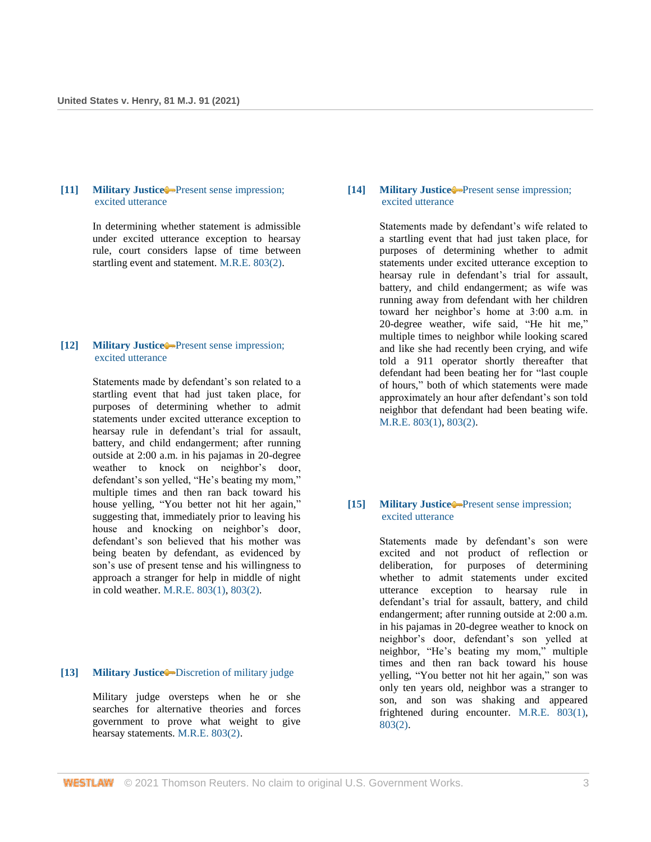## **[11] [Military Justice](http://www.westlaw.com/Browse/Home/KeyNumber/258A/View.html?docGuid=Ief4a0b509c8611ebb59191cef82ec18e&originationContext=document&vr=3.0&rs=cblt1.0&transitionType=DocumentItem&contextData=(sc.UserEnteredCitation))** [Present sense impression;](http://www.westlaw.com/Browse/Home/KeyNumber/258Ak1089/View.html?docGuid=Ief4a0b509c8611ebb59191cef82ec18e&originationContext=document&vr=3.0&rs=cblt1.0&transitionType=DocumentItem&contextData=(sc.UserEnteredCitation))  [excited utterance](http://www.westlaw.com/Browse/Home/KeyNumber/258Ak1089/View.html?docGuid=Ief4a0b509c8611ebb59191cef82ec18e&originationContext=document&vr=3.0&rs=cblt1.0&transitionType=DocumentItem&contextData=(sc.UserEnteredCitation))

In determining whether statement is admissible under excited utterance exception to hearsay rule, court considers lapse of time between startling event and statement[. M.R.E. 803\(2\).](http://www.westlaw.com/Link/Document/FullText?findType=Y&serNum=0471371908&pubNum=0214739&originatingDoc=Ief4a0b509c8611ebb59191cef82ec18e&refType=TS&originationContext=document&vr=3.0&rs=cblt1.0&transitionType=DocumentItem&contextData=(sc.UserEnteredCitation))

# **[12] [Military Justice](http://www.westlaw.com/Browse/Home/KeyNumber/258A/View.html?docGuid=Ief4a0b509c8611ebb59191cef82ec18e&originationContext=document&vr=3.0&rs=cblt1.0&transitionType=DocumentItem&contextData=(sc.UserEnteredCitation))** [Present sense impression;](http://www.westlaw.com/Browse/Home/KeyNumber/258Ak1089/View.html?docGuid=Ief4a0b509c8611ebb59191cef82ec18e&originationContext=document&vr=3.0&rs=cblt1.0&transitionType=DocumentItem&contextData=(sc.UserEnteredCitation))  [excited utterance](http://www.westlaw.com/Browse/Home/KeyNumber/258Ak1089/View.html?docGuid=Ief4a0b509c8611ebb59191cef82ec18e&originationContext=document&vr=3.0&rs=cblt1.0&transitionType=DocumentItem&contextData=(sc.UserEnteredCitation))

Statements made by defendant's son related to a startling event that had just taken place, for purposes of determining whether to admit statements under excited utterance exception to hearsay rule in defendant's trial for assault, battery, and child endangerment; after running outside at 2:00 a.m. in his pajamas in 20-degree weather to knock on neighbor's door, defendant's son yelled, "He's beating my mom," multiple times and then ran back toward his house yelling, "You better not hit her again," suggesting that, immediately prior to leaving his house and knocking on neighbor's door, defendant's son believed that his mother was being beaten by defendant, as evidenced by son's use of present tense and his willingness to approach a stranger for help in middle of night in cold weather[. M.R.E. 803\(1\),](http://www.westlaw.com/Link/Document/FullText?findType=Y&serNum=0471371907&pubNum=0214739&originatingDoc=Ief4a0b509c8611ebb59191cef82ec18e&refType=TS&originationContext=document&vr=3.0&rs=cblt1.0&transitionType=DocumentItem&contextData=(sc.UserEnteredCitation)) [803\(2\).](http://www.westlaw.com/Link/Document/FullText?findType=Y&serNum=0471371908&pubNum=0214739&originatingDoc=Ief4a0b509c8611ebb59191cef82ec18e&refType=TS&originationContext=document&vr=3.0&rs=cblt1.0&transitionType=DocumentItem&contextData=(sc.UserEnteredCitation))

# **[13] [Military Justice](http://www.westlaw.com/Browse/Home/KeyNumber/258A/View.html?docGuid=Ief4a0b509c8611ebb59191cef82ec18e&originationContext=document&vr=3.0&rs=cblt1.0&transitionType=DocumentItem&contextData=(sc.UserEnteredCitation))** [Discretion of military judge](http://www.westlaw.com/Browse/Home/KeyNumber/258Ak1420/View.html?docGuid=Ief4a0b509c8611ebb59191cef82ec18e&originationContext=document&vr=3.0&rs=cblt1.0&transitionType=DocumentItem&contextData=(sc.UserEnteredCitation))

Military judge oversteps when he or she searches for alternative theories and forces government to prove what weight to give hearsay statements. [M.R.E. 803\(2\).](http://www.westlaw.com/Link/Document/FullText?findType=Y&serNum=0471371908&pubNum=0214739&originatingDoc=Ief4a0b509c8611ebb59191cef82ec18e&refType=TS&originationContext=document&vr=3.0&rs=cblt1.0&transitionType=DocumentItem&contextData=(sc.UserEnteredCitation))

# **[14] [Military Justice](http://www.westlaw.com/Browse/Home/KeyNumber/258A/View.html?docGuid=Ief4a0b509c8611ebb59191cef82ec18e&originationContext=document&vr=3.0&rs=cblt1.0&transitionType=DocumentItem&contextData=(sc.UserEnteredCitation))** [Present sense impression;](http://www.westlaw.com/Browse/Home/KeyNumber/258Ak1089/View.html?docGuid=Ief4a0b509c8611ebb59191cef82ec18e&originationContext=document&vr=3.0&rs=cblt1.0&transitionType=DocumentItem&contextData=(sc.UserEnteredCitation))  [excited utterance](http://www.westlaw.com/Browse/Home/KeyNumber/258Ak1089/View.html?docGuid=Ief4a0b509c8611ebb59191cef82ec18e&originationContext=document&vr=3.0&rs=cblt1.0&transitionType=DocumentItem&contextData=(sc.UserEnteredCitation))

Statements made by defendant's wife related to a startling event that had just taken place, for purposes of determining whether to admit statements under excited utterance exception to hearsay rule in defendant's trial for assault, battery, and child endangerment; as wife was running away from defendant with her children toward her neighbor's home at 3:00 a.m. in 20-degree weather, wife said, "He hit me," multiple times to neighbor while looking scared and like she had recently been crying, and wife told a 911 operator shortly thereafter that defendant had been beating her for "last couple of hours," both of which statements were made approximately an hour after defendant's son told neighbor that defendant had been beating wife. [M.R.E. 803\(1\),](http://www.westlaw.com/Link/Document/FullText?findType=Y&serNum=0471371907&pubNum=0214739&originatingDoc=Ief4a0b509c8611ebb59191cef82ec18e&refType=TS&originationContext=document&vr=3.0&rs=cblt1.0&transitionType=DocumentItem&contextData=(sc.UserEnteredCitation)) [803\(2\).](http://www.westlaw.com/Link/Document/FullText?findType=Y&serNum=0471371908&pubNum=0214739&originatingDoc=Ief4a0b509c8611ebb59191cef82ec18e&refType=TS&originationContext=document&vr=3.0&rs=cblt1.0&transitionType=DocumentItem&contextData=(sc.UserEnteredCitation))

## **[15] [Military Justice](http://www.westlaw.com/Browse/Home/KeyNumber/258A/View.html?docGuid=Ief4a0b509c8611ebb59191cef82ec18e&originationContext=document&vr=3.0&rs=cblt1.0&transitionType=DocumentItem&contextData=(sc.UserEnteredCitation))** [Present sense impression;](http://www.westlaw.com/Browse/Home/KeyNumber/258Ak1089/View.html?docGuid=Ief4a0b509c8611ebb59191cef82ec18e&originationContext=document&vr=3.0&rs=cblt1.0&transitionType=DocumentItem&contextData=(sc.UserEnteredCitation))  [excited utterance](http://www.westlaw.com/Browse/Home/KeyNumber/258Ak1089/View.html?docGuid=Ief4a0b509c8611ebb59191cef82ec18e&originationContext=document&vr=3.0&rs=cblt1.0&transitionType=DocumentItem&contextData=(sc.UserEnteredCitation))

Statements made by defendant's son were excited and not product of reflection or deliberation, for purposes of determining whether to admit statements under excited utterance exception to hearsay rule in defendant's trial for assault, battery, and child endangerment; after running outside at 2:00 a.m. in his pajamas in 20-degree weather to knock on neighbor's door, defendant's son yelled at neighbor, "He's beating my mom," multiple times and then ran back toward his house yelling, "You better not hit her again," son was only ten years old, neighbor was a stranger to son, and son was shaking and appeared frightened during encounter. [M.R.E. 803\(1\),](http://www.westlaw.com/Link/Document/FullText?findType=Y&serNum=0471371907&pubNum=0214739&originatingDoc=Ief4a0b509c8611ebb59191cef82ec18e&refType=TS&originationContext=document&vr=3.0&rs=cblt1.0&transitionType=DocumentItem&contextData=(sc.UserEnteredCitation)) [803\(2\).](http://www.westlaw.com/Link/Document/FullText?findType=Y&serNum=0471371908&pubNum=0214739&originatingDoc=Ief4a0b509c8611ebb59191cef82ec18e&refType=TS&originationContext=document&vr=3.0&rs=cblt1.0&transitionType=DocumentItem&contextData=(sc.UserEnteredCitation))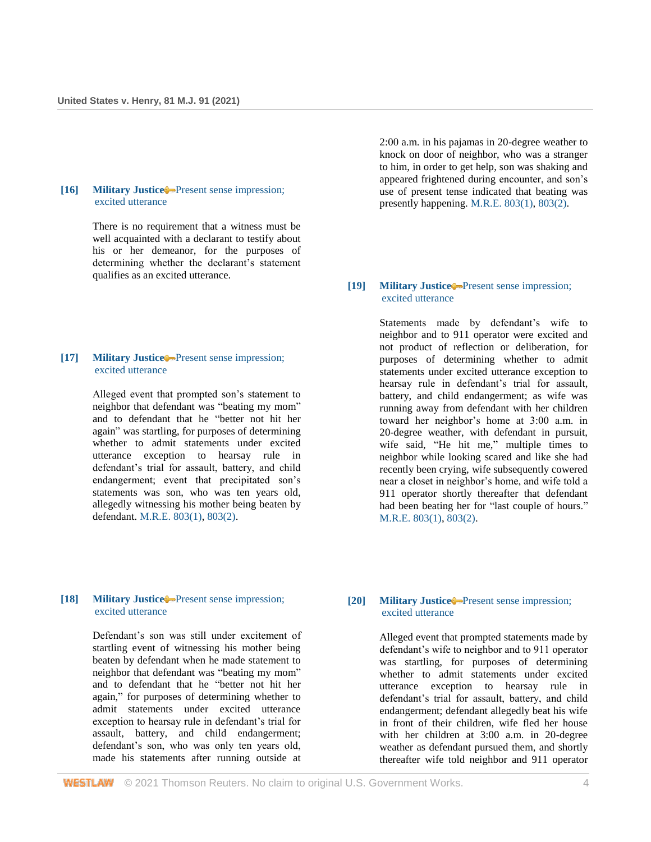### **[16] [Military Justice](http://www.westlaw.com/Browse/Home/KeyNumber/258A/View.html?docGuid=Ief4a0b509c8611ebb59191cef82ec18e&originationContext=document&vr=3.0&rs=cblt1.0&transitionType=DocumentItem&contextData=(sc.UserEnteredCitation))** [Present sense impression;](http://www.westlaw.com/Browse/Home/KeyNumber/258Ak1089/View.html?docGuid=Ief4a0b509c8611ebb59191cef82ec18e&originationContext=document&vr=3.0&rs=cblt1.0&transitionType=DocumentItem&contextData=(sc.UserEnteredCitation))  [excited utterance](http://www.westlaw.com/Browse/Home/KeyNumber/258Ak1089/View.html?docGuid=Ief4a0b509c8611ebb59191cef82ec18e&originationContext=document&vr=3.0&rs=cblt1.0&transitionType=DocumentItem&contextData=(sc.UserEnteredCitation))

There is no requirement that a witness must be well acquainted with a declarant to testify about his or her demeanor, for the purposes of determining whether the declarant's statement qualifies as an excited utterance.

# **[17] [Military Justice](http://www.westlaw.com/Browse/Home/KeyNumber/258A/View.html?docGuid=Ief4a0b509c8611ebb59191cef82ec18e&originationContext=document&vr=3.0&rs=cblt1.0&transitionType=DocumentItem&contextData=(sc.UserEnteredCitation))** [Present sense impression;](http://www.westlaw.com/Browse/Home/KeyNumber/258Ak1089/View.html?docGuid=Ief4a0b509c8611ebb59191cef82ec18e&originationContext=document&vr=3.0&rs=cblt1.0&transitionType=DocumentItem&contextData=(sc.UserEnteredCitation))  [excited utterance](http://www.westlaw.com/Browse/Home/KeyNumber/258Ak1089/View.html?docGuid=Ief4a0b509c8611ebb59191cef82ec18e&originationContext=document&vr=3.0&rs=cblt1.0&transitionType=DocumentItem&contextData=(sc.UserEnteredCitation))

Alleged event that prompted son's statement to neighbor that defendant was "beating my mom" and to defendant that he "better not hit her again" was startling, for purposes of determining whether to admit statements under excited utterance exception to hearsay rule in defendant's trial for assault, battery, and child endangerment; event that precipitated son's statements was son, who was ten years old, allegedly witnessing his mother being beaten by defendant. [M.R.E. 803\(1\),](http://www.westlaw.com/Link/Document/FullText?findType=Y&serNum=0471371907&pubNum=0214739&originatingDoc=Ief4a0b509c8611ebb59191cef82ec18e&refType=TS&originationContext=document&vr=3.0&rs=cblt1.0&transitionType=DocumentItem&contextData=(sc.UserEnteredCitation)) [803\(2\).](http://www.westlaw.com/Link/Document/FullText?findType=Y&serNum=0471371908&pubNum=0214739&originatingDoc=Ief4a0b509c8611ebb59191cef82ec18e&refType=TS&originationContext=document&vr=3.0&rs=cblt1.0&transitionType=DocumentItem&contextData=(sc.UserEnteredCitation))

2:00 a.m. in his pajamas in 20-degree weather to knock on door of neighbor, who was a stranger to him, in order to get help, son was shaking and appeared frightened during encounter, and son's use of present tense indicated that beating was presently happening. [M.R.E. 803\(1\),](http://www.westlaw.com/Link/Document/FullText?findType=Y&serNum=0471371907&pubNum=0214739&originatingDoc=Ief4a0b509c8611ebb59191cef82ec18e&refType=TS&originationContext=document&vr=3.0&rs=cblt1.0&transitionType=DocumentItem&contextData=(sc.UserEnteredCitation)) [803\(2\).](http://www.westlaw.com/Link/Document/FullText?findType=Y&serNum=0471371908&pubNum=0214739&originatingDoc=Ief4a0b509c8611ebb59191cef82ec18e&refType=TS&originationContext=document&vr=3.0&rs=cblt1.0&transitionType=DocumentItem&contextData=(sc.UserEnteredCitation))

# **[19] [Military Justice](http://www.westlaw.com/Browse/Home/KeyNumber/258A/View.html?docGuid=Ief4a0b509c8611ebb59191cef82ec18e&originationContext=document&vr=3.0&rs=cblt1.0&transitionType=DocumentItem&contextData=(sc.UserEnteredCitation))** [Present sense impression;](http://www.westlaw.com/Browse/Home/KeyNumber/258Ak1089/View.html?docGuid=Ief4a0b509c8611ebb59191cef82ec18e&originationContext=document&vr=3.0&rs=cblt1.0&transitionType=DocumentItem&contextData=(sc.UserEnteredCitation))  [excited utterance](http://www.westlaw.com/Browse/Home/KeyNumber/258Ak1089/View.html?docGuid=Ief4a0b509c8611ebb59191cef82ec18e&originationContext=document&vr=3.0&rs=cblt1.0&transitionType=DocumentItem&contextData=(sc.UserEnteredCitation))

Statements made by defendant's wife to neighbor and to 911 operator were excited and not product of reflection or deliberation, for purposes of determining whether to admit statements under excited utterance exception to hearsay rule in defendant's trial for assault, battery, and child endangerment; as wife was running away from defendant with her children toward her neighbor's home at 3:00 a.m. in 20-degree weather, with defendant in pursuit, wife said, "He hit me," multiple times to neighbor while looking scared and like she had recently been crying, wife subsequently cowered near a closet in neighbor's home, and wife told a 911 operator shortly thereafter that defendant had been beating her for "last couple of hours." [M.R.E. 803\(1\),](http://www.westlaw.com/Link/Document/FullText?findType=Y&serNum=0471371907&pubNum=0214739&originatingDoc=Ief4a0b509c8611ebb59191cef82ec18e&refType=TS&originationContext=document&vr=3.0&rs=cblt1.0&transitionType=DocumentItem&contextData=(sc.UserEnteredCitation)) [803\(2\).](http://www.westlaw.com/Link/Document/FullText?findType=Y&serNum=0471371908&pubNum=0214739&originatingDoc=Ief4a0b509c8611ebb59191cef82ec18e&refType=TS&originationContext=document&vr=3.0&rs=cblt1.0&transitionType=DocumentItem&contextData=(sc.UserEnteredCitation))

## **[18] [Military Justice](http://www.westlaw.com/Browse/Home/KeyNumber/258A/View.html?docGuid=Ief4a0b509c8611ebb59191cef82ec18e&originationContext=document&vr=3.0&rs=cblt1.0&transitionType=DocumentItem&contextData=(sc.UserEnteredCitation))** [Present sense impression;](http://www.westlaw.com/Browse/Home/KeyNumber/258Ak1089/View.html?docGuid=Ief4a0b509c8611ebb59191cef82ec18e&originationContext=document&vr=3.0&rs=cblt1.0&transitionType=DocumentItem&contextData=(sc.UserEnteredCitation))  [excited utterance](http://www.westlaw.com/Browse/Home/KeyNumber/258Ak1089/View.html?docGuid=Ief4a0b509c8611ebb59191cef82ec18e&originationContext=document&vr=3.0&rs=cblt1.0&transitionType=DocumentItem&contextData=(sc.UserEnteredCitation))

Defendant's son was still under excitement of startling event of witnessing his mother being beaten by defendant when he made statement to neighbor that defendant was "beating my mom" and to defendant that he "better not hit her again," for purposes of determining whether to admit statements under excited utterance exception to hearsay rule in defendant's trial for assault, battery, and child endangerment; defendant's son, who was only ten years old, made his statements after running outside at

## **[20] [Military Justice](http://www.westlaw.com/Browse/Home/KeyNumber/258A/View.html?docGuid=Ief4a0b509c8611ebb59191cef82ec18e&originationContext=document&vr=3.0&rs=cblt1.0&transitionType=DocumentItem&contextData=(sc.UserEnteredCitation))** [Present sense impression;](http://www.westlaw.com/Browse/Home/KeyNumber/258Ak1089/View.html?docGuid=Ief4a0b509c8611ebb59191cef82ec18e&originationContext=document&vr=3.0&rs=cblt1.0&transitionType=DocumentItem&contextData=(sc.UserEnteredCitation))  [excited utterance](http://www.westlaw.com/Browse/Home/KeyNumber/258Ak1089/View.html?docGuid=Ief4a0b509c8611ebb59191cef82ec18e&originationContext=document&vr=3.0&rs=cblt1.0&transitionType=DocumentItem&contextData=(sc.UserEnteredCitation))

Alleged event that prompted statements made by defendant's wife to neighbor and to 911 operator was startling, for purposes of determining whether to admit statements under excited utterance exception to hearsay rule in defendant's trial for assault, battery, and child endangerment; defendant allegedly beat his wife in front of their children, wife fled her house with her children at 3:00 a.m. in 20-degree weather as defendant pursued them, and shortly thereafter wife told neighbor and 911 operator

**WESTLAW** © 2021 Thomson Reuters. No claim to original U.S. Government Works. 4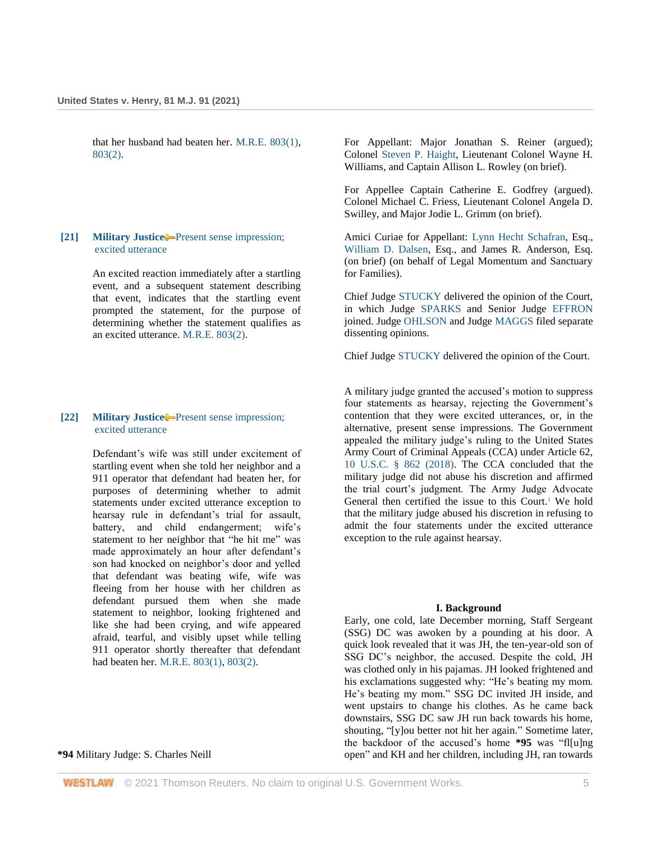that her husband had beaten her. [M.R.E. 803\(1\),](http://www.westlaw.com/Link/Document/FullText?findType=Y&serNum=0471371907&pubNum=0214739&originatingDoc=Ief4a0b509c8611ebb59191cef82ec18e&refType=TS&originationContext=document&vr=3.0&rs=cblt1.0&transitionType=DocumentItem&contextData=(sc.UserEnteredCitation)) [803\(2\).](http://www.westlaw.com/Link/Document/FullText?findType=Y&serNum=0471371908&pubNum=0214739&originatingDoc=Ief4a0b509c8611ebb59191cef82ec18e&refType=TS&originationContext=document&vr=3.0&rs=cblt1.0&transitionType=DocumentItem&contextData=(sc.UserEnteredCitation))

### **[21] [Military Justice](http://www.westlaw.com/Browse/Home/KeyNumber/258A/View.html?docGuid=Ief4a0b509c8611ebb59191cef82ec18e&originationContext=document&vr=3.0&rs=cblt1.0&transitionType=DocumentItem&contextData=(sc.UserEnteredCitation))** [Present sense impression;](http://www.westlaw.com/Browse/Home/KeyNumber/258Ak1089/View.html?docGuid=Ief4a0b509c8611ebb59191cef82ec18e&originationContext=document&vr=3.0&rs=cblt1.0&transitionType=DocumentItem&contextData=(sc.UserEnteredCitation))  [excited utterance](http://www.westlaw.com/Browse/Home/KeyNumber/258Ak1089/View.html?docGuid=Ief4a0b509c8611ebb59191cef82ec18e&originationContext=document&vr=3.0&rs=cblt1.0&transitionType=DocumentItem&contextData=(sc.UserEnteredCitation))

An excited reaction immediately after a startling event, and a subsequent statement describing that event, indicates that the startling event prompted the statement, for the purpose of determining whether the statement qualifies as an excited utterance. [M.R.E. 803\(2\).](http://www.westlaw.com/Link/Document/FullText?findType=Y&serNum=0471371908&pubNum=0214739&originatingDoc=Ief4a0b509c8611ebb59191cef82ec18e&refType=TS&originationContext=document&vr=3.0&rs=cblt1.0&transitionType=DocumentItem&contextData=(sc.UserEnteredCitation))

### **[22] [Military Justice](http://www.westlaw.com/Browse/Home/KeyNumber/258A/View.html?docGuid=Ief4a0b509c8611ebb59191cef82ec18e&originationContext=document&vr=3.0&rs=cblt1.0&transitionType=DocumentItem&contextData=(sc.UserEnteredCitation))** [Present sense impression;](http://www.westlaw.com/Browse/Home/KeyNumber/258Ak1089/View.html?docGuid=Ief4a0b509c8611ebb59191cef82ec18e&originationContext=document&vr=3.0&rs=cblt1.0&transitionType=DocumentItem&contextData=(sc.UserEnteredCitation))  [excited utterance](http://www.westlaw.com/Browse/Home/KeyNumber/258Ak1089/View.html?docGuid=Ief4a0b509c8611ebb59191cef82ec18e&originationContext=document&vr=3.0&rs=cblt1.0&transitionType=DocumentItem&contextData=(sc.UserEnteredCitation))

Defendant's wife was still under excitement of startling event when she told her neighbor and a 911 operator that defendant had beaten her, for purposes of determining whether to admit statements under excited utterance exception to hearsay rule in defendant's trial for assault, battery, and child endangerment; wife's statement to her neighbor that "he hit me" was made approximately an hour after defendant's son had knocked on neighbor's door and yelled that defendant was beating wife, wife was fleeing from her house with her children as defendant pursued them when she made statement to neighbor, looking frightened and like she had been crying, and wife appeared afraid, tearful, and visibly upset while telling 911 operator shortly thereafter that defendant had beaten her. [M.R.E. 803\(1\),](http://www.westlaw.com/Link/Document/FullText?findType=Y&serNum=0471371907&pubNum=0214739&originatingDoc=Ief4a0b509c8611ebb59191cef82ec18e&refType=TS&originationContext=document&vr=3.0&rs=cblt1.0&transitionType=DocumentItem&contextData=(sc.UserEnteredCitation)) [803\(2\).](http://www.westlaw.com/Link/Document/FullText?findType=Y&serNum=0471371908&pubNum=0214739&originatingDoc=Ief4a0b509c8611ebb59191cef82ec18e&refType=TS&originationContext=document&vr=3.0&rs=cblt1.0&transitionType=DocumentItem&contextData=(sc.UserEnteredCitation))

#### **\*94** Military Judge: S. Charles Neill

For Appellant: Major Jonathan S. Reiner (argued); Colonel [Steven P. Haight,](http://www.westlaw.com/Link/Document/FullText?findType=h&pubNum=176284&cite=0239212901&originatingDoc=Ief4a0b509c8611ebb59191cef82ec18e&refType=RQ&originationContext=document&vr=3.0&rs=cblt1.0&transitionType=DocumentItem&contextData=(sc.UserEnteredCitation)) Lieutenant Colonel Wayne H. Williams, and Captain Allison L. Rowley (on brief).

For Appellee Captain Catherine E. Godfrey (argued). Colonel Michael C. Friess, Lieutenant Colonel Angela D. Swilley, and Major Jodie L. Grimm (on brief).

Amici Curiae for Appellant: [Lynn Hecht Schafran,](http://www.westlaw.com/Link/Document/FullText?findType=h&pubNum=176284&cite=0162946701&originatingDoc=Ief4a0b509c8611ebb59191cef82ec18e&refType=RQ&originationContext=document&vr=3.0&rs=cblt1.0&transitionType=DocumentItem&contextData=(sc.UserEnteredCitation)) Esq., [William D. Dalsen,](http://www.westlaw.com/Link/Document/FullText?findType=h&pubNum=176284&cite=0469740801&originatingDoc=Ief4a0b509c8611ebb59191cef82ec18e&refType=RQ&originationContext=document&vr=3.0&rs=cblt1.0&transitionType=DocumentItem&contextData=(sc.UserEnteredCitation)) Esq., and James R. Anderson, Esq. (on brief) (on behalf of Legal Momentum and Sanctuary for Families).

Chief Judge [STUCKY](http://www.westlaw.com/Link/Document/FullText?findType=h&pubNum=176284&cite=0398498501&originatingDoc=Ief4a0b509c8611ebb59191cef82ec18e&refType=RQ&originationContext=document&vr=3.0&rs=cblt1.0&transitionType=DocumentItem&contextData=(sc.UserEnteredCitation)) delivered the opinion of the Court, in which Judge [SPARKS](http://www.westlaw.com/Link/Document/FullText?findType=h&pubNum=176284&cite=0496360799&originatingDoc=Ief4a0b509c8611ebb59191cef82ec18e&refType=RQ&originationContext=document&vr=3.0&rs=cblt1.0&transitionType=DocumentItem&contextData=(sc.UserEnteredCitation)) and Senior Judge [EFFRON](http://www.westlaw.com/Link/Document/FullText?findType=h&pubNum=176284&cite=0203155901&originatingDoc=Ief4a0b509c8611ebb59191cef82ec18e&refType=RQ&originationContext=document&vr=3.0&rs=cblt1.0&transitionType=DocumentItem&contextData=(sc.UserEnteredCitation)) joined. Judge [OHLSON](http://www.westlaw.com/Link/Document/FullText?findType=h&pubNum=176284&cite=0208480901&originatingDoc=Ief4a0b509c8611ebb59191cef82ec18e&refType=RQ&originationContext=document&vr=3.0&rs=cblt1.0&transitionType=DocumentItem&contextData=(sc.UserEnteredCitation)) and Judge [MAGGS](http://www.westlaw.com/Link/Document/FullText?findType=h&pubNum=176284&cite=0457549401&originatingDoc=Ief4a0b509c8611ebb59191cef82ec18e&refType=RQ&originationContext=document&vr=3.0&rs=cblt1.0&transitionType=DocumentItem&contextData=(sc.UserEnteredCitation)) filed separate dissenting opinions.

Chief Judge [STUCKY](http://www.westlaw.com/Link/Document/FullText?findType=h&pubNum=176284&cite=0398498501&originatingDoc=Ief4a0b509c8611ebb59191cef82ec18e&refType=RQ&originationContext=document&vr=3.0&rs=cblt1.0&transitionType=DocumentItem&contextData=(sc.UserEnteredCitation)) delivered the opinion of the Court.

A military judge granted the accused's motion to suppress four statements as hearsay, rejecting the Government's contention that they were excited utterances, or, in the alternative, present sense impressions. The Government appealed the military judge's ruling to the United States Army Court of Criminal Appeals (CCA) under Article 62, [10 U.S.C. § 862 \(2018\).](http://www.westlaw.com/Link/Document/FullText?findType=L&pubNum=1000546&cite=10USCAS862&originatingDoc=Ief4a0b509c8611ebb59191cef82ec18e&refType=LQ&originationContext=document&vr=3.0&rs=cblt1.0&transitionType=DocumentItem&contextData=(sc.UserEnteredCitation)) The CCA concluded that the military judge did not abuse his discretion and affirmed the trial court's judgment. The Army Judge Advocate General then certified the issue to this Court.<sup>1</sup> We hold that the military judge abused his discretion in refusing to admit the four statements under the excited utterance exception to the rule against hearsay.

#### **I. Background**

Early, one cold, late December morning, Staff Sergeant (SSG) DC was awoken by a pounding at his door. A quick look revealed that it was JH, the ten-year-old son of SSG DC's neighbor, the accused. Despite the cold, JH was clothed only in his pajamas. JH looked frightened and his exclamations suggested why: "He's beating my mom. He's beating my mom." SSG DC invited JH inside, and went upstairs to change his clothes. As he came back downstairs, SSG DC saw JH run back towards his home, shouting, "[y]ou better not hit her again." Sometime later, the backdoor of the accused's home **\*95** was "fl[u]ng open" and KH and her children, including JH, ran towards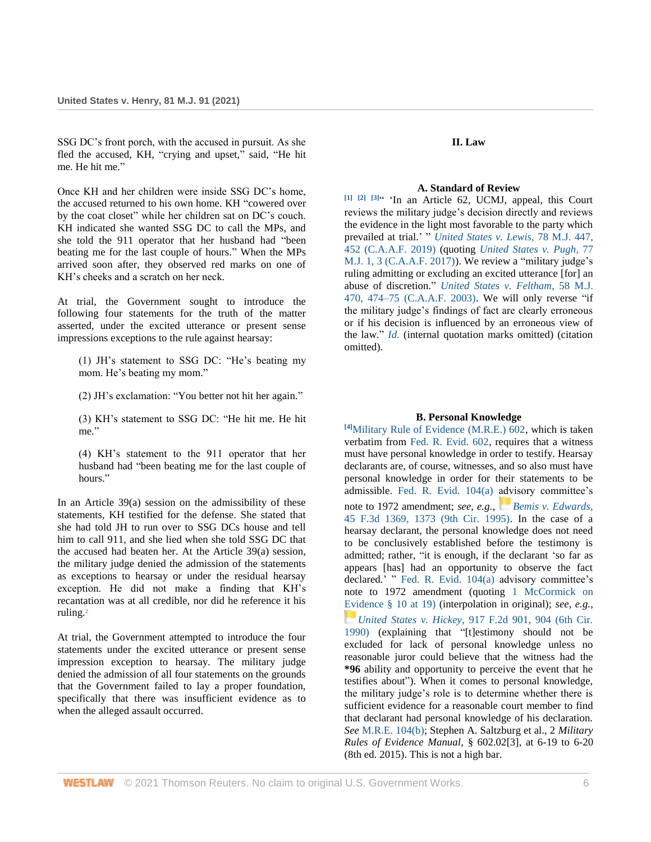SSG DC's front porch, with the accused in pursuit. As she fled the accused, KH, "crying and upset," said, "He hit me. He hit me."

Once KH and her children were inside SSG DC's home, the accused returned to his own home. KH "cowered over by the coat closet" while her children sat on DC's couch. KH indicated she wanted SSG DC to call the MPs, and she told the 911 operator that her husband had "been beating me for the last couple of hours." When the MPs arrived soon after, they observed red marks on one of KH's cheeks and a scratch on her neck.

At trial, the Government sought to introduce the following four statements for the truth of the matter asserted, under the excited utterance or present sense impressions exceptions to the rule against hearsay:

(1) JH's statement to SSG DC: "He's beating my mom. He's beating my mom."

(2) JH's exclamation: "You better not hit her again."

(3) KH's statement to SSG DC: "He hit me. He hit me."

(4) KH's statement to the 911 operator that her husband had "been beating me for the last couple of hours<sup>"</sup>

In an Article  $39(a)$  session on the admissibility of these statements, KH testified for the defense. She stated that she had told JH to run over to SSG DCs house and tell him to call 911, and she lied when she told SSG DC that the accused had beaten her. At the Article 39(a) session, the military judge denied the admission of the statements as exceptions to hearsay or under the residual hearsay exception. He did not make a finding that KH's recantation was at all credible, nor did he reference it his ruling.<sup>2</sup>

At trial, the Government attempted to introduce the four statements under the excited utterance or present sense impression exception to hearsay. The military judge denied the admission of all four statements on the grounds that the Government failed to lay a proper foundation, specifically that there was insufficient evidence as to when the alleged assault occurred.

### **II. Law**

#### **A. Standard of Review**

**[1] [2] [3]** " 'In an Article 62, UCMJ, appeal, this Court reviews the military judge's decision directly and reviews the evidence in the light most favorable to the party which prevailed at trial.' " *[United States v. Lewis](http://www.westlaw.com/Link/Document/FullText?findType=Y&serNum=2048401831&pubNum=0000509&originatingDoc=Ief4a0b509c8611ebb59191cef82ec18e&refType=RP&fi=co_pp_sp_509_452&originationContext=document&vr=3.0&rs=cblt1.0&transitionType=DocumentItem&contextData=(sc.UserEnteredCitation)#co_pp_sp_509_452)*, 78 M.J. 447, [452 \(C.A.A.F. 2019\)](http://www.westlaw.com/Link/Document/FullText?findType=Y&serNum=2048401831&pubNum=0000509&originatingDoc=Ief4a0b509c8611ebb59191cef82ec18e&refType=RP&fi=co_pp_sp_509_452&originationContext=document&vr=3.0&rs=cblt1.0&transitionType=DocumentItem&contextData=(sc.UserEnteredCitation)#co_pp_sp_509_452) (quoting *[United States v. Pugh](http://www.westlaw.com/Link/Document/FullText?findType=Y&serNum=2043190587&pubNum=0000509&originatingDoc=Ief4a0b509c8611ebb59191cef82ec18e&refType=RP&fi=co_pp_sp_509_3&originationContext=document&vr=3.0&rs=cblt1.0&transitionType=DocumentItem&contextData=(sc.UserEnteredCitation)#co_pp_sp_509_3)*, 77 [M.J. 1, 3 \(C.A.A.F. 2017\)\)](http://www.westlaw.com/Link/Document/FullText?findType=Y&serNum=2043190587&pubNum=0000509&originatingDoc=Ief4a0b509c8611ebb59191cef82ec18e&refType=RP&fi=co_pp_sp_509_3&originationContext=document&vr=3.0&rs=cblt1.0&transitionType=DocumentItem&contextData=(sc.UserEnteredCitation)#co_pp_sp_509_3). We review a "military judge's ruling admitting or excluding an excited utterance [for] an abuse of discretion." *[United States v. Feltham](http://www.westlaw.com/Link/Document/FullText?findType=Y&serNum=2003496905&pubNum=0000509&originatingDoc=Ief4a0b509c8611ebb59191cef82ec18e&refType=RP&fi=co_pp_sp_509_474&originationContext=document&vr=3.0&rs=cblt1.0&transitionType=DocumentItem&contextData=(sc.UserEnteredCitation)#co_pp_sp_509_474)*, 58 M.J. [470, 474–75 \(C.A.A.F. 2003\).](http://www.westlaw.com/Link/Document/FullText?findType=Y&serNum=2003496905&pubNum=0000509&originatingDoc=Ief4a0b509c8611ebb59191cef82ec18e&refType=RP&fi=co_pp_sp_509_474&originationContext=document&vr=3.0&rs=cblt1.0&transitionType=DocumentItem&contextData=(sc.UserEnteredCitation)#co_pp_sp_509_474) We will only reverse "if the military judge's findings of fact are clearly erroneous or if his decision is influenced by an erroneous view of the law." *[Id.](http://www.westlaw.com/Link/Document/FullText?findType=Y&serNum=2003496905&pubNum=0000509&originatingDoc=Ief4a0b509c8611ebb59191cef82ec18e&refType=RP&originationContext=document&vr=3.0&rs=cblt1.0&transitionType=DocumentItem&contextData=(sc.UserEnteredCitation))* (internal quotation marks omitted) (citation omitted).

### **B. Personal Knowledge**

**[4]**[Military Rule of Evidence \(M.R.E.\) 602,](http://www.westlaw.com/Link/Document/FullText?findType=Y&serNum=0471371858&pubNum=0214739&originatingDoc=Ief4a0b509c8611ebb59191cef82ec18e&refType=TS&originationContext=document&vr=3.0&rs=cblt1.0&transitionType=DocumentItem&contextData=(sc.UserEnteredCitation)) which is taken verbatim from [Fed. R. Evid. 602,](http://www.westlaw.com/Link/Document/FullText?findType=L&pubNum=1000607&cite=USFRER602&originatingDoc=Ief4a0b509c8611ebb59191cef82ec18e&refType=LQ&originationContext=document&vr=3.0&rs=cblt1.0&transitionType=DocumentItem&contextData=(sc.UserEnteredCitation)) requires that a witness must have personal knowledge in order to testify. Hearsay declarants are, of course, witnesses, and so also must have personal knowledge in order for their statements to be admissible. [Fed. R. Evid. 104\(a\)](http://www.westlaw.com/Link/Document/FullText?findType=L&pubNum=1000607&cite=USFRER104&originatingDoc=Ief4a0b509c8611ebb59191cef82ec18e&refType=LQ&originationContext=document&vr=3.0&rs=cblt1.0&transitionType=DocumentItem&contextData=(sc.UserEnteredCitation)) advisory committee's note to 1972 amendment; *see, e.g.*, *[Bemis v. Edwards](http://www.westlaw.com/Link/Document/FullText?findType=Y&serNum=1995035297&pubNum=0000506&originatingDoc=Ief4a0b509c8611ebb59191cef82ec18e&refType=RP&fi=co_pp_sp_506_1373&originationContext=document&vr=3.0&rs=cblt1.0&transitionType=DocumentItem&contextData=(sc.UserEnteredCitation)#co_pp_sp_506_1373)*, [45 F.3d 1369, 1373 \(9th Cir. 1995\).](http://www.westlaw.com/Link/Document/FullText?findType=Y&serNum=1995035297&pubNum=0000506&originatingDoc=Ief4a0b509c8611ebb59191cef82ec18e&refType=RP&fi=co_pp_sp_506_1373&originationContext=document&vr=3.0&rs=cblt1.0&transitionType=DocumentItem&contextData=(sc.UserEnteredCitation)#co_pp_sp_506_1373) In the case of a hearsay declarant, the personal knowledge does not need to be conclusively established before the testimony is admitted; rather, "it is enough, if the declarant 'so far as appears [has] had an opportunity to observe the fact declared.' " [Fed. R. Evid. 104\(a\)](http://www.westlaw.com/Link/Document/FullText?findType=L&pubNum=1000607&cite=USFRER104&originatingDoc=Ief4a0b509c8611ebb59191cef82ec18e&refType=LQ&originationContext=document&vr=3.0&rs=cblt1.0&transitionType=DocumentItem&contextData=(sc.UserEnteredCitation)) advisory committee's note to 1972 amendment (quoting [1 McCormick on](http://www.westlaw.com/Link/Document/FullText?findType=Y&serNum=0280312270&pubNum=0134642&originatingDoc=Ief4a0b509c8611ebb59191cef82ec18e&refType=TS&originationContext=document&vr=3.0&rs=cblt1.0&transitionType=DocumentItem&contextData=(sc.UserEnteredCitation))  [Evidence § 10 at 19\)](http://www.westlaw.com/Link/Document/FullText?findType=Y&serNum=0280312270&pubNum=0134642&originatingDoc=Ief4a0b509c8611ebb59191cef82ec18e&refType=TS&originationContext=document&vr=3.0&rs=cblt1.0&transitionType=DocumentItem&contextData=(sc.UserEnteredCitation)) (interpolation in original); *see*, *e.g.*, *[U](https://1.next.westlaw.com/Link/RelatedInformation/Flag?documentGuid=I7b044ff7972311d9a707f4371c9c34f0&transitionType=InlineKeyCiteFlags&originationContext=docHeaderFlag&Rank=0&ppcid=17a3b6326f044b1a84a80345d0fadcdf&contextData=(sc.UserEnteredCitation))nited States v. Hickey*[, 917 F.2d 901, 904 \(6th Cir.](http://www.westlaw.com/Link/Document/FullText?findType=Y&serNum=1990152747&pubNum=0000350&originatingDoc=Ief4a0b509c8611ebb59191cef82ec18e&refType=RP&fi=co_pp_sp_350_904&originationContext=document&vr=3.0&rs=cblt1.0&transitionType=DocumentItem&contextData=(sc.UserEnteredCitation)#co_pp_sp_350_904)  [1990\)](http://www.westlaw.com/Link/Document/FullText?findType=Y&serNum=1990152747&pubNum=0000350&originatingDoc=Ief4a0b509c8611ebb59191cef82ec18e&refType=RP&fi=co_pp_sp_350_904&originationContext=document&vr=3.0&rs=cblt1.0&transitionType=DocumentItem&contextData=(sc.UserEnteredCitation)#co_pp_sp_350_904) (explaining that "[t]estimony should not be excluded for lack of personal knowledge unless no reasonable juror could believe that the witness had the **\*96** ability and opportunity to perceive the event that he testifies about"). When it comes to personal knowledge, the military judge's role is to determine whether there is sufficient evidence for a reasonable court member to find that declarant had personal knowledge of his declaration. *See* [M.R.E. 104\(b\);](http://www.westlaw.com/Link/Document/FullText?findType=Y&serNum=0471371671&pubNum=0214739&originatingDoc=Ief4a0b509c8611ebb59191cef82ec18e&refType=TS&originationContext=document&vr=3.0&rs=cblt1.0&transitionType=DocumentItem&contextData=(sc.UserEnteredCitation)) Stephen A. Saltzburg et al., 2 *Military Rules of Evidence Manual*, § 602.02[3], at 6-19 to 6-20 (8th ed. 2015). This is not a high bar.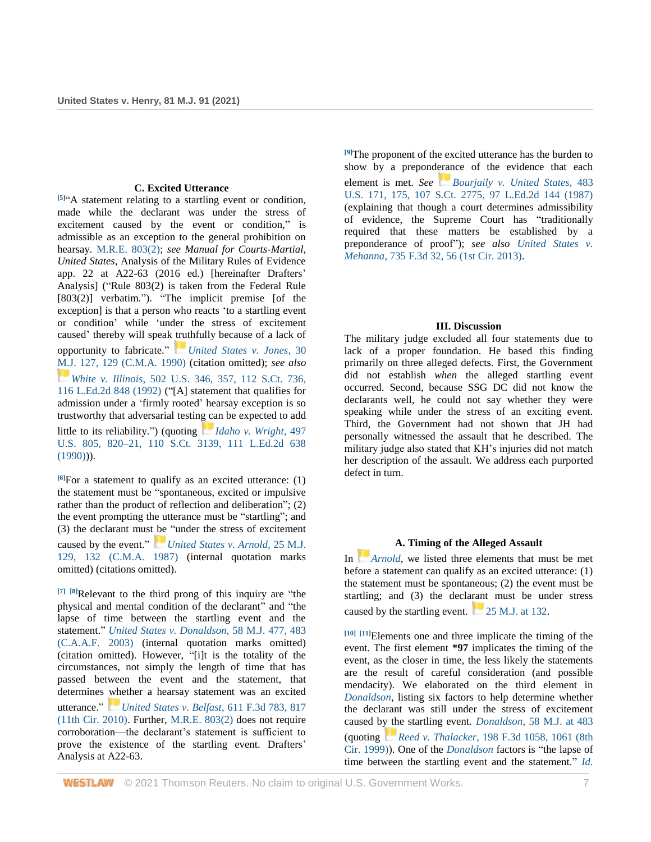#### **C. Excited Utterance**

**[5]** "A statement relating to a startling event or condition, made while the declarant was under the stress of excitement caused by the event or condition," is admissible as an exception to the general prohibition on hearsay. [M.R.E. 803\(2\);](http://www.westlaw.com/Link/Document/FullText?findType=Y&serNum=0471371908&pubNum=0214739&originatingDoc=Ief4a0b509c8611ebb59191cef82ec18e&refType=TS&originationContext=document&vr=3.0&rs=cblt1.0&transitionType=DocumentItem&contextData=(sc.UserEnteredCitation)) *see Manual for Courts-Martial, United States*, Analysis of the Military Rules of Evidence app. 22 at A22-63 (2016 ed.) [hereinafter Drafters' Analysis] ("Rule 803(2) is taken from the Federal Rule [803(2)] verbatim."). "The implicit premise [of the exception] is that a person who reacts 'to a startling event or condition' while 'under the stress of excitement caused' thereby will speak truthfully because of a lack of opportunity to fabricate." *[United States v. Jones](http://www.westlaw.com/Link/Document/FullText?findType=Y&serNum=1990069198&pubNum=0000509&originatingDoc=Ief4a0b509c8611ebb59191cef82ec18e&refType=RP&fi=co_pp_sp_509_129&originationContext=document&vr=3.0&rs=cblt1.0&transitionType=DocumentItem&contextData=(sc.UserEnteredCitation)#co_pp_sp_509_129)*, 30 [M.J. 127, 129 \(C.M.A. 1990\)](http://www.westlaw.com/Link/Document/FullText?findType=Y&serNum=1990069198&pubNum=0000509&originatingDoc=Ief4a0b509c8611ebb59191cef82ec18e&refType=RP&fi=co_pp_sp_509_129&originationContext=document&vr=3.0&rs=cblt1.0&transitionType=DocumentItem&contextData=(sc.UserEnteredCitation)#co_pp_sp_509_129) (citation omitted); *see also [W](https://1.next.westlaw.com/Link/RelatedInformation/Flag?documentGuid=Ia0997b1f9c9a11d993e6d35cc61aab4a&transitionType=InlineKeyCiteFlags&originationContext=docHeaderFlag&Rank=0&ppcid=17a3b6326f044b1a84a80345d0fadcdf&contextData=(sc.UserEnteredCitation))hite v. Illinois*[, 502 U.S. 346, 357, 112 S.Ct. 736,](http://www.westlaw.com/Link/Document/FullText?findType=Y&serNum=1992023471&pubNum=0000780&originatingDoc=Ief4a0b509c8611ebb59191cef82ec18e&refType=RP&fi=co_pp_sp_780_357&originationContext=document&vr=3.0&rs=cblt1.0&transitionType=DocumentItem&contextData=(sc.UserEnteredCitation)#co_pp_sp_780_357)  [116 L.Ed.2d 848 \(1992\)](http://www.westlaw.com/Link/Document/FullText?findType=Y&serNum=1992023471&pubNum=0000780&originatingDoc=Ief4a0b509c8611ebb59191cef82ec18e&refType=RP&fi=co_pp_sp_780_357&originationContext=document&vr=3.0&rs=cblt1.0&transitionType=DocumentItem&contextData=(sc.UserEnteredCitation)#co_pp_sp_780_357) ("[A] statement that qualifies for admission under a 'firmly rooted' hearsay exception is so trustworthy that adversarial testing can be expected to add little to its reliability.") (quoting *[Idaho v. Wright](http://www.westlaw.com/Link/Document/FullText?findType=Y&serNum=1990097971&pubNum=0000780&originatingDoc=Ief4a0b509c8611ebb59191cef82ec18e&refType=RP&fi=co_pp_sp_780_820&originationContext=document&vr=3.0&rs=cblt1.0&transitionType=DocumentItem&contextData=(sc.UserEnteredCitation)#co_pp_sp_780_820)*, 497 [U.S. 805, 820–21, 110 S.Ct. 3139, 111 L.Ed.2d 638](http://www.westlaw.com/Link/Document/FullText?findType=Y&serNum=1990097971&pubNum=0000780&originatingDoc=Ief4a0b509c8611ebb59191cef82ec18e&refType=RP&fi=co_pp_sp_780_820&originationContext=document&vr=3.0&rs=cblt1.0&transitionType=DocumentItem&contextData=(sc.UserEnteredCitation)#co_pp_sp_780_820)   $(1990))$ .

**[6]**For a statement to qualify as an excited utterance: (1) the statement must be "spontaneous, excited or impulsive rather than the product of reflection and deliberation"; (2) the event prompting the utterance must be "startling"; and (3) the declarant must be "under the stress of excitement caused by the event." *[U](https://1.next.westlaw.com/Link/RelatedInformation/Flag?documentGuid=Ieeeb04f6b12b11d9bdd1cfdd544ca3a4&transitionType=InlineKeyCiteFlags&originationContext=docHeaderFlag&Rank=0&ppcid=17a3b6326f044b1a84a80345d0fadcdf&contextData=(sc.UserEnteredCitation))nited [States v. Arnold](http://www.westlaw.com/Link/Document/FullText?findType=Y&serNum=1987118991&pubNum=0000509&originatingDoc=Ief4a0b509c8611ebb59191cef82ec18e&refType=RP&fi=co_pp_sp_509_132&originationContext=document&vr=3.0&rs=cblt1.0&transitionType=DocumentItem&contextData=(sc.UserEnteredCitation)#co_pp_sp_509_132)*, 25 M.J. [129, 132 \(C.M.A. 1987\)](http://www.westlaw.com/Link/Document/FullText?findType=Y&serNum=1987118991&pubNum=0000509&originatingDoc=Ief4a0b509c8611ebb59191cef82ec18e&refType=RP&fi=co_pp_sp_509_132&originationContext=document&vr=3.0&rs=cblt1.0&transitionType=DocumentItem&contextData=(sc.UserEnteredCitation)#co_pp_sp_509_132) (internal quotation marks omitted) (citations omitted).

**[7] [8]**Relevant to the third prong of this inquiry are "the physical and mental condition of the declarant" and "the lapse of time between the startling event and the statement." *[United States v. Donaldson](http://www.westlaw.com/Link/Document/FullText?findType=Y&serNum=2003496910&pubNum=0000509&originatingDoc=Ief4a0b509c8611ebb59191cef82ec18e&refType=RP&fi=co_pp_sp_509_483&originationContext=document&vr=3.0&rs=cblt1.0&transitionType=DocumentItem&contextData=(sc.UserEnteredCitation)#co_pp_sp_509_483)*, 58 M.J. 477, 483 [\(C.A.A.F. 2003\)](http://www.westlaw.com/Link/Document/FullText?findType=Y&serNum=2003496910&pubNum=0000509&originatingDoc=Ief4a0b509c8611ebb59191cef82ec18e&refType=RP&fi=co_pp_sp_509_483&originationContext=document&vr=3.0&rs=cblt1.0&transitionType=DocumentItem&contextData=(sc.UserEnteredCitation)#co_pp_sp_509_483) (internal quotation marks omitted) (citation omitted). However, "[i]t is the totality of the circumstances, not simply the length of time that has passed between the event and the statement, that determines whether a hearsay statement was an excited utterance." *[United States v. Belfast](http://www.westlaw.com/Link/Document/FullText?findType=Y&serNum=2022545000&pubNum=0000506&originatingDoc=Ief4a0b509c8611ebb59191cef82ec18e&refType=RP&fi=co_pp_sp_506_817&originationContext=document&vr=3.0&rs=cblt1.0&transitionType=DocumentItem&contextData=(sc.UserEnteredCitation)#co_pp_sp_506_817)*, 611 F.3d 783, 817 [\(11th Cir. 2010\).](http://www.westlaw.com/Link/Document/FullText?findType=Y&serNum=2022545000&pubNum=0000506&originatingDoc=Ief4a0b509c8611ebb59191cef82ec18e&refType=RP&fi=co_pp_sp_506_817&originationContext=document&vr=3.0&rs=cblt1.0&transitionType=DocumentItem&contextData=(sc.UserEnteredCitation)#co_pp_sp_506_817) Further, [M.R.E. 803\(2\)](http://www.westlaw.com/Link/Document/FullText?findType=Y&serNum=0471371908&pubNum=0214739&originatingDoc=Ief4a0b509c8611ebb59191cef82ec18e&refType=TS&originationContext=document&vr=3.0&rs=cblt1.0&transitionType=DocumentItem&contextData=(sc.UserEnteredCitation)) does not require corroboration—the declarant's statement is sufficient to prove the existence of the startling event. Drafters' Analysis at A22-63.

**[9]**The proponent of the excited utterance has the burden to show by a preponderance of the evidence that each element is met. *See[Bourjaily v. United States](http://www.westlaw.com/Link/Document/FullText?findType=Y&serNum=1987078412&pubNum=0000780&originatingDoc=Ief4a0b509c8611ebb59191cef82ec18e&refType=RP&fi=co_pp_sp_780_175&originationContext=document&vr=3.0&rs=cblt1.0&transitionType=DocumentItem&contextData=(sc.UserEnteredCitation)#co_pp_sp_780_175)*, 483 [U.S. 171, 175, 107 S.Ct. 2775, 97 L.Ed.2d 144 \(1987\)](http://www.westlaw.com/Link/Document/FullText?findType=Y&serNum=1987078412&pubNum=0000780&originatingDoc=Ief4a0b509c8611ebb59191cef82ec18e&refType=RP&fi=co_pp_sp_780_175&originationContext=document&vr=3.0&rs=cblt1.0&transitionType=DocumentItem&contextData=(sc.UserEnteredCitation)#co_pp_sp_780_175) (explaining that though a court determines admissibility of evidence, the Supreme Court has "traditionally required that these matters be established by a preponderance of proof"); *see also [United States v.](http://www.westlaw.com/Link/Document/FullText?findType=Y&serNum=2031938496&pubNum=0000506&originatingDoc=Ief4a0b509c8611ebb59191cef82ec18e&refType=RP&fi=co_pp_sp_506_56&originationContext=document&vr=3.0&rs=cblt1.0&transitionType=DocumentItem&contextData=(sc.UserEnteredCitation)#co_pp_sp_506_56)  Mehanna*[, 735 F.3d 32, 56 \(1st Cir. 2013\).](http://www.westlaw.com/Link/Document/FullText?findType=Y&serNum=2031938496&pubNum=0000506&originatingDoc=Ief4a0b509c8611ebb59191cef82ec18e&refType=RP&fi=co_pp_sp_506_56&originationContext=document&vr=3.0&rs=cblt1.0&transitionType=DocumentItem&contextData=(sc.UserEnteredCitation)#co_pp_sp_506_56)

## **III. Discussion**

The military judge excluded all four statements due to lack of a proper foundation. He based this finding primarily on three alleged defects. First, the Government did not establish *when* the alleged startling event occurred. Second, because SSG DC did not know the declarants well, he could not say whether they were speaking while under the stress of an exciting event. Third, the Government had not shown that JH had personally witnessed the assault that he described. The military judge also stated that KH's injuries did not match her description of the assault. We address each purported defect in turn.

# **A. Timing of the Alleged Assault**

In *[Arnold](http://www.westlaw.com/Link/Document/FullText?findType=Y&serNum=1987118991&pubNum=0000509&originatingDoc=Ief4a0b509c8611ebb59191cef82ec18e&refType=RP&originationContext=document&vr=3.0&rs=cblt1.0&transitionType=DocumentItem&contextData=(sc.UserEnteredCitation))*, we listed three elements that must be met before a statement can qualify as an excited utterance: (1) the statement must be spontaneous; (2) the event must be startling; and (3) the declarant must be under stress causedby the startling event.  $\sim$  [25 M.J. at 132.](http://www.westlaw.com/Link/Document/FullText?findType=Y&serNum=1987118991&pubNum=0000509&originatingDoc=Ief4a0b509c8611ebb59191cef82ec18e&refType=RP&fi=co_pp_sp_509_132&originationContext=document&vr=3.0&rs=cblt1.0&transitionType=DocumentItem&contextData=(sc.UserEnteredCitation)#co_pp_sp_509_132)

**[10] [11]**Elements one and three implicate the timing of the event. The first element **\*97** implicates the timing of the event, as the closer in time, the less likely the statements are the result of careful consideration (and possible mendacity). We elaborated on the third element in *[Donaldson](http://www.westlaw.com/Link/Document/FullText?findType=Y&serNum=2003496910&pubNum=0000509&originatingDoc=Ief4a0b509c8611ebb59191cef82ec18e&refType=RP&originationContext=document&vr=3.0&rs=cblt1.0&transitionType=DocumentItem&contextData=(sc.UserEnteredCitation))*, listing six factors to help determine whether the declarant was still under the stress of excitement caused by the startling event. *Donaldson*[, 58 M.J. at 483](http://www.westlaw.com/Link/Document/FullText?findType=Y&serNum=2003496910&pubNum=0000509&originatingDoc=Ief4a0b509c8611ebb59191cef82ec18e&refType=RP&fi=co_pp_sp_509_483&originationContext=document&vr=3.0&rs=cblt1.0&transitionType=DocumentItem&contextData=(sc.UserEnteredCitation)#co_pp_sp_509_483) (quoting *[R](https://1.next.westlaw.com/Link/RelatedInformation/Flag?documentGuid=I5031f898795a11d99c4dbb2f0352441d&transitionType=InlineKeyCiteFlags&originationContext=docHeaderFlag&Rank=0&ppcid=17a3b6326f044b1a84a80345d0fadcdf&contextData=(sc.UserEnteredCitation))eed v. Thalacker*[, 198 F.3d 1058, 1061 \(8th](http://www.westlaw.com/Link/Document/FullText?findType=Y&serNum=2000027593&pubNum=0000506&originatingDoc=Ief4a0b509c8611ebb59191cef82ec18e&refType=RP&fi=co_pp_sp_506_1061&originationContext=document&vr=3.0&rs=cblt1.0&transitionType=DocumentItem&contextData=(sc.UserEnteredCitation)#co_pp_sp_506_1061)  [Cir. 1999\)\)](http://www.westlaw.com/Link/Document/FullText?findType=Y&serNum=2000027593&pubNum=0000506&originatingDoc=Ief4a0b509c8611ebb59191cef82ec18e&refType=RP&fi=co_pp_sp_506_1061&originationContext=document&vr=3.0&rs=cblt1.0&transitionType=DocumentItem&contextData=(sc.UserEnteredCitation)#co_pp_sp_506_1061). One of the *[Donaldson](http://www.westlaw.com/Link/Document/FullText?findType=Y&serNum=2003496910&pubNum=0000509&originatingDoc=Ief4a0b509c8611ebb59191cef82ec18e&refType=RP&originationContext=document&vr=3.0&rs=cblt1.0&transitionType=DocumentItem&contextData=(sc.UserEnteredCitation))* factors is "the lapse of time between the startling event and the statement." *[Id.](http://www.westlaw.com/Link/Document/FullText?findType=Y&serNum=2003496910&pubNum=0000509&originatingDoc=Ief4a0b509c8611ebb59191cef82ec18e&refType=RP&originationContext=document&vr=3.0&rs=cblt1.0&transitionType=DocumentItem&contextData=(sc.UserEnteredCitation))*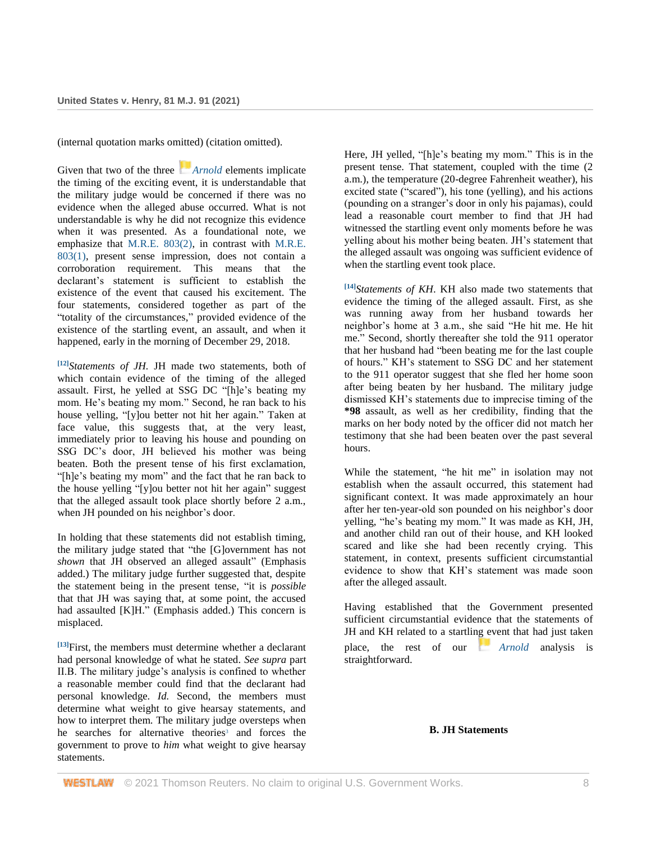(internal quotation marks omitted) (citation omitted).

Given that two of the three *[Arnold](http://www.westlaw.com/Link/Document/FullText?findType=Y&serNum=1987118991&pubNum=0000509&originatingDoc=Ief4a0b509c8611ebb59191cef82ec18e&refType=RP&originationContext=document&vr=3.0&rs=cblt1.0&transitionType=DocumentItem&contextData=(sc.UserEnteredCitation))* elements implicate the timing of the exciting event, it is understandable that the military judge would be concerned if there was no evidence when the alleged abuse occurred. What is not understandable is why he did not recognize this evidence when it was presented. As a foundational note, we emphasize that [M.R.E. 803\(2\),](http://www.westlaw.com/Link/Document/FullText?findType=Y&serNum=0471371908&pubNum=0214739&originatingDoc=Ief4a0b509c8611ebb59191cef82ec18e&refType=TS&originationContext=document&vr=3.0&rs=cblt1.0&transitionType=DocumentItem&contextData=(sc.UserEnteredCitation)) in contrast with [M.R.E.](http://www.westlaw.com/Link/Document/FullText?findType=Y&serNum=0471371907&pubNum=0214739&originatingDoc=Ief4a0b509c8611ebb59191cef82ec18e&refType=TS&originationContext=document&vr=3.0&rs=cblt1.0&transitionType=DocumentItem&contextData=(sc.UserEnteredCitation))  [803\(1\),](http://www.westlaw.com/Link/Document/FullText?findType=Y&serNum=0471371907&pubNum=0214739&originatingDoc=Ief4a0b509c8611ebb59191cef82ec18e&refType=TS&originationContext=document&vr=3.0&rs=cblt1.0&transitionType=DocumentItem&contextData=(sc.UserEnteredCitation)) present sense impression, does not contain a corroboration requirement. This means that the declarant's statement is sufficient to establish the existence of the event that caused his excitement. The four statements, considered together as part of the "totality of the circumstances," provided evidence of the existence of the startling event, an assault, and when it happened, early in the morning of December 29, 2018.

**[12]***Statements of JH.* JH made two statements, both of which contain evidence of the timing of the alleged assault. First, he yelled at SSG DC "[h]e's beating my mom. He's beating my mom." Second, he ran back to his house yelling, "[y]ou better not hit her again." Taken at face value, this suggests that, at the very least, immediately prior to leaving his house and pounding on SSG DC's door, JH believed his mother was being beaten. Both the present tense of his first exclamation, "[h]e's beating my mom" and the fact that he ran back to the house yelling "[y]ou better not hit her again" suggest that the alleged assault took place shortly before 2 a.m., when JH pounded on his neighbor's door.

In holding that these statements did not establish timing, the military judge stated that "the [G]overnment has not *shown* that JH observed an alleged assault" (Emphasis added.) The military judge further suggested that, despite the statement being in the present tense, "it is *possible* that that JH was saying that, at some point, the accused had assaulted [K]H." (Emphasis added.) This concern is misplaced.

**[13]**First, the members must determine whether a declarant had personal knowledge of what he stated. *See supra* part II.B. The military judge's analysis is confined to whether a reasonable member could find that the declarant had personal knowledge. *Id.* Second, the members must determine what weight to give hearsay statements, and how to interpret them. The military judge oversteps when he searches for alternative theories<sup>3</sup> and forces the government to prove to *him* what weight to give hearsay statements.

Here, JH yelled, "[h]e's beating my mom." This is in the present tense. That statement, coupled with the time (2 a.m.), the temperature (20-degree Fahrenheit weather), his excited state ("scared"), his tone (yelling), and his actions (pounding on a stranger's door in only his pajamas), could lead a reasonable court member to find that JH had witnessed the startling event only moments before he was yelling about his mother being beaten. JH's statement that the alleged assault was ongoing was sufficient evidence of when the startling event took place.

**[14]***Statements of KH*. KH also made two statements that evidence the timing of the alleged assault. First, as she was running away from her husband towards her neighbor's home at 3 a.m., she said "He hit me. He hit me." Second, shortly thereafter she told the 911 operator that her husband had "been beating me for the last couple of hours." KH's statement to SSG DC and her statement to the 911 operator suggest that she fled her home soon after being beaten by her husband. The military judge dismissed KH's statements due to imprecise timing of the **\*98** assault, as well as her credibility, finding that the marks on her body noted by the officer did not match her testimony that she had been beaten over the past several hours.

While the statement, "he hit me" in isolation may not establish when the assault occurred, this statement had significant context. It was made approximately an hour after her ten-year-old son pounded on his neighbor's door yelling, "he's beating my mom." It was made as KH, JH, and another child ran out of their house, and KH looked scared and like she had been recently crying. This statement, in context, presents sufficient circumstantial evidence to show that KH's statement was made soon after the alleged assault.

Having established that the Government presented sufficient circumstantial evidence that the statements of JH and KH related to a startling event that had just taken place, the rest of our *[Arnold](http://www.westlaw.com/Link/Document/FullText?findType=Y&serNum=1987118991&pubNum=0000509&originatingDoc=Ief4a0b509c8611ebb59191cef82ec18e&refType=RP&originationContext=document&vr=3.0&rs=cblt1.0&transitionType=DocumentItem&contextData=(sc.UserEnteredCitation))* analysis is straightforward.

### **B. JH Statements**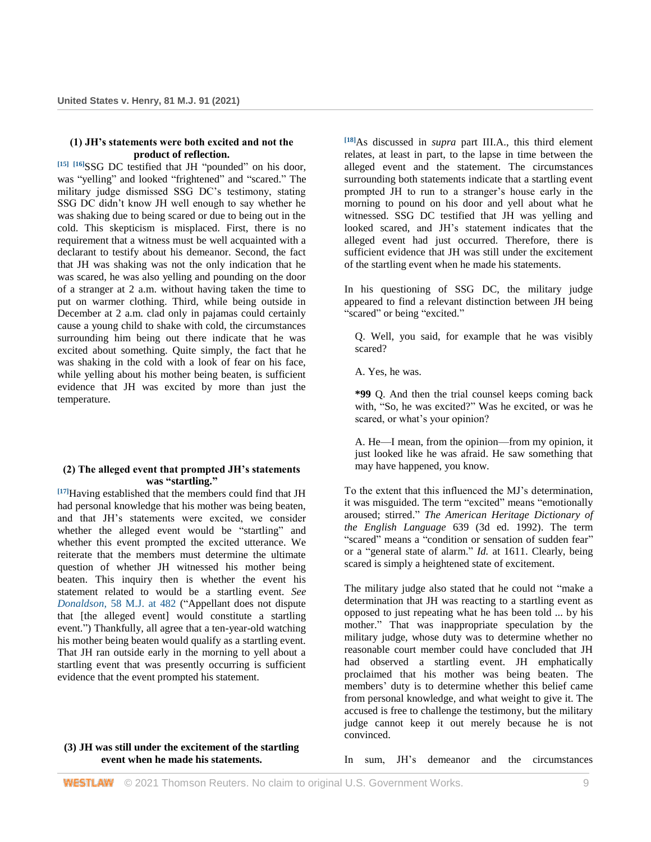## **(1) JH's statements were both excited and not the product of reflection.**

**[15] [16]**SSG DC testified that JH "pounded" on his door, was "yelling" and looked "frightened" and "scared." The military judge dismissed SSG DC's testimony, stating SSG DC didn't know JH well enough to say whether he was shaking due to being scared or due to being out in the cold. This skepticism is misplaced. First, there is no requirement that a witness must be well acquainted with a declarant to testify about his demeanor. Second, the fact that JH was shaking was not the only indication that he was scared, he was also yelling and pounding on the door of a stranger at 2 a.m. without having taken the time to put on warmer clothing. Third, while being outside in December at 2 a.m. clad only in pajamas could certainly cause a young child to shake with cold, the circumstances surrounding him being out there indicate that he was excited about something. Quite simply, the fact that he was shaking in the cold with a look of fear on his face, while yelling about his mother being beaten, is sufficient evidence that JH was excited by more than just the temperature.

## **(2) The alleged event that prompted JH's statements was "startling."**

**[17]**Having established that the members could find that JH had personal knowledge that his mother was being beaten, and that JH's statements were excited, we consider whether the alleged event would be "startling" and whether this event prompted the excited utterance. We reiterate that the members must determine the ultimate question of whether JH witnessed his mother being beaten. This inquiry then is whether the event his statement related to would be a startling event. *See Donaldson*[, 58 M.J. at 482](http://www.westlaw.com/Link/Document/FullText?findType=Y&serNum=2003496910&pubNum=0000509&originatingDoc=Ief4a0b509c8611ebb59191cef82ec18e&refType=RP&fi=co_pp_sp_509_482&originationContext=document&vr=3.0&rs=cblt1.0&transitionType=DocumentItem&contextData=(sc.UserEnteredCitation)#co_pp_sp_509_482) ("Appellant does not dispute that [the alleged event] would constitute a startling event.") Thankfully, all agree that a ten-year-old watching his mother being beaten would qualify as a startling event. That JH ran outside early in the morning to yell about a startling event that was presently occurring is sufficient evidence that the event prompted his statement.

## **(3) JH was still under the excitement of the startling event when he made his statements.**

**[18]**As discussed in *supra* part III.A., this third element relates, at least in part, to the lapse in time between the alleged event and the statement. The circumstances surrounding both statements indicate that a startling event prompted JH to run to a stranger's house early in the morning to pound on his door and yell about what he witnessed. SSG DC testified that JH was yelling and looked scared, and JH's statement indicates that the alleged event had just occurred. Therefore, there is sufficient evidence that JH was still under the excitement of the startling event when he made his statements.

In his questioning of SSG DC, the military judge appeared to find a relevant distinction between JH being "scared" or being "excited."

Q. Well, you said, for example that he was visibly scared?

A. Yes, he was.

**\*99** Q. And then the trial counsel keeps coming back with, "So, he was excited?" Was he excited, or was he scared, or what's your opinion?

A. He—I mean, from the opinion—from my opinion, it just looked like he was afraid. He saw something that may have happened, you know.

To the extent that this influenced the MJ's determination, it was misguided. The term "excited" means "emotionally aroused; stirred." *The American Heritage Dictionary of the English Language* 639 (3d ed. 1992). The term "scared" means a "condition or sensation of sudden fear" or a "general state of alarm." *Id.* at 1611. Clearly, being scared is simply a heightened state of excitement.

The military judge also stated that he could not "make a determination that JH was reacting to a startling event as opposed to just repeating what he has been told ... by his mother." That was inappropriate speculation by the military judge, whose duty was to determine whether no reasonable court member could have concluded that JH had observed a startling event. JH emphatically proclaimed that his mother was being beaten. The members' duty is to determine whether this belief came from personal knowledge, and what weight to give it. The accused is free to challenge the testimony, but the military judge cannot keep it out merely because he is not convinced.

In sum, JH's demeanor and the circumstances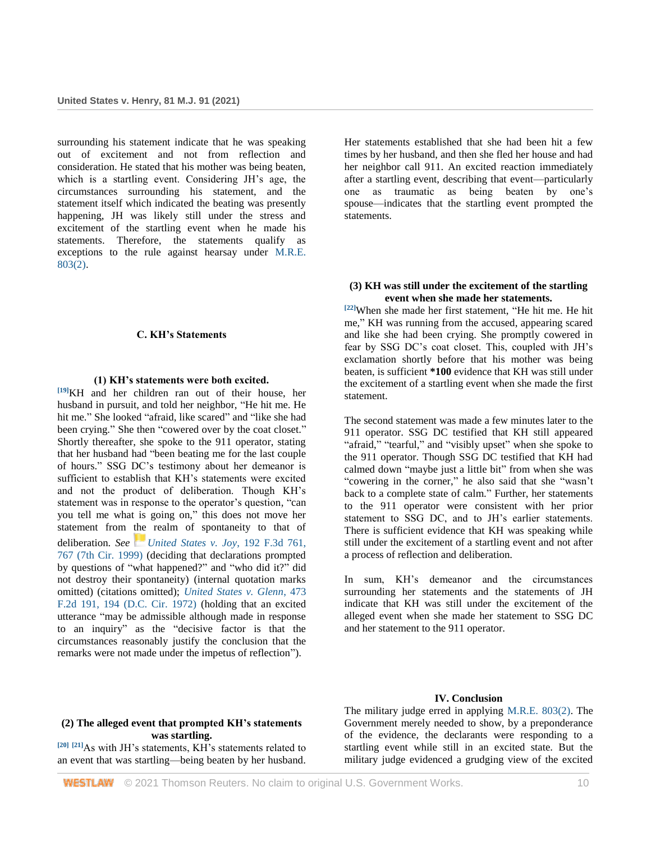surrounding his statement indicate that he was speaking out of excitement and not from reflection and consideration. He stated that his mother was being beaten, which is a startling event. Considering JH's age, the circumstances surrounding his statement, and the statement itself which indicated the beating was presently happening, JH was likely still under the stress and excitement of the startling event when he made his statements. Therefore, the statements qualify as exceptions to the rule against hearsay under [M.R.E.](http://www.westlaw.com/Link/Document/FullText?findType=Y&serNum=0471371908&pubNum=0214739&originatingDoc=Ief4a0b509c8611ebb59191cef82ec18e&refType=TS&originationContext=document&vr=3.0&rs=cblt1.0&transitionType=DocumentItem&contextData=(sc.UserEnteredCitation))  [803\(2\).](http://www.westlaw.com/Link/Document/FullText?findType=Y&serNum=0471371908&pubNum=0214739&originatingDoc=Ief4a0b509c8611ebb59191cef82ec18e&refType=TS&originationContext=document&vr=3.0&rs=cblt1.0&transitionType=DocumentItem&contextData=(sc.UserEnteredCitation))

### **C. KH's Statements**

#### **(1) KH's statements were both excited.**

**[19]**KH and her children ran out of their house, her husband in pursuit, and told her neighbor, "He hit me. He hit me." She looked "afraid, like scared" and "like she had been crying." She then "cowered over by the coat closet." Shortly thereafter, she spoke to the 911 operator, stating that her husband had "been beating me for the last couple of hours." SSG DC's testimony about her demeanor is sufficient to establish that KH's statements were excited and not the product of deliberation. Though KH's statement was in response to the operator's question, "can you tell me what is going on," this does not move her statement from the realm of spontaneity to that of deliberation. *See[United States v. Joy](http://www.westlaw.com/Link/Document/FullText?findType=Y&serNum=1999221172&pubNum=0000506&originatingDoc=Ief4a0b509c8611ebb59191cef82ec18e&refType=RP&fi=co_pp_sp_506_767&originationContext=document&vr=3.0&rs=cblt1.0&transitionType=DocumentItem&contextData=(sc.UserEnteredCitation)#co_pp_sp_506_767)*, 192 F.3d 761, [767 \(7th Cir. 1999\)](http://www.westlaw.com/Link/Document/FullText?findType=Y&serNum=1999221172&pubNum=0000506&originatingDoc=Ief4a0b509c8611ebb59191cef82ec18e&refType=RP&fi=co_pp_sp_506_767&originationContext=document&vr=3.0&rs=cblt1.0&transitionType=DocumentItem&contextData=(sc.UserEnteredCitation)#co_pp_sp_506_767) (deciding that declarations prompted by questions of "what happened?" and "who did it?" did not destroy their spontaneity) (internal quotation marks omitted) (citations omitted); *[United States v. Glenn](http://www.westlaw.com/Link/Document/FullText?findType=Y&serNum=1972113556&pubNum=0000350&originatingDoc=Ief4a0b509c8611ebb59191cef82ec18e&refType=RP&fi=co_pp_sp_350_194&originationContext=document&vr=3.0&rs=cblt1.0&transitionType=DocumentItem&contextData=(sc.UserEnteredCitation)#co_pp_sp_350_194)*, 473 [F.2d 191, 194 \(D.C. Cir. 1972\)](http://www.westlaw.com/Link/Document/FullText?findType=Y&serNum=1972113556&pubNum=0000350&originatingDoc=Ief4a0b509c8611ebb59191cef82ec18e&refType=RP&fi=co_pp_sp_350_194&originationContext=document&vr=3.0&rs=cblt1.0&transitionType=DocumentItem&contextData=(sc.UserEnteredCitation)#co_pp_sp_350_194) (holding that an excited utterance "may be admissible although made in response to an inquiry" as the "decisive factor is that the circumstances reasonably justify the conclusion that the remarks were not made under the impetus of reflection").

Her statements established that she had been hit a few times by her husband, and then she fled her house and had her neighbor call 911. An excited reaction immediately after a startling event, describing that event—particularly one as traumatic as being beaten by one's spouse—indicates that the startling event prompted the statements.

## **(3) KH was still under the excitement of the startling event when she made her statements.**

**[22]**When she made her first statement, "He hit me. He hit me," KH was running from the accused, appearing scared and like she had been crying. She promptly cowered in fear by SSG DC's coat closet. This, coupled with JH's exclamation shortly before that his mother was being beaten, is sufficient **\*100** evidence that KH was still under the excitement of a startling event when she made the first statement.

The second statement was made a few minutes later to the 911 operator. SSG DC testified that KH still appeared "afraid," "tearful," and "visibly upset" when she spoke to the 911 operator. Though SSG DC testified that KH had calmed down "maybe just a little bit" from when she was "cowering in the corner," he also said that she "wasn't back to a complete state of calm." Further, her statements to the 911 operator were consistent with her prior statement to SSG DC, and to JH's earlier statements. There is sufficient evidence that KH was speaking while still under the excitement of a startling event and not after a process of reflection and deliberation.

In sum, KH's demeanor and the circumstances surrounding her statements and the statements of JH indicate that KH was still under the excitement of the alleged event when she made her statement to SSG DC and her statement to the 911 operator.

### **(2) The alleged event that prompted KH's statements was startling.**

**[20] [21]**As with JH's statements, KH's statements related to an event that was startling—being beaten by her husband.

### **IV. Conclusion**

The military judge erred in applying [M.R.E. 803\(2\).](http://www.westlaw.com/Link/Document/FullText?findType=Y&serNum=0471371908&pubNum=0214739&originatingDoc=Ief4a0b509c8611ebb59191cef82ec18e&refType=TS&originationContext=document&vr=3.0&rs=cblt1.0&transitionType=DocumentItem&contextData=(sc.UserEnteredCitation)) The Government merely needed to show, by a preponderance of the evidence, the declarants were responding to a startling event while still in an excited state. But the military judge evidenced a grudging view of the excited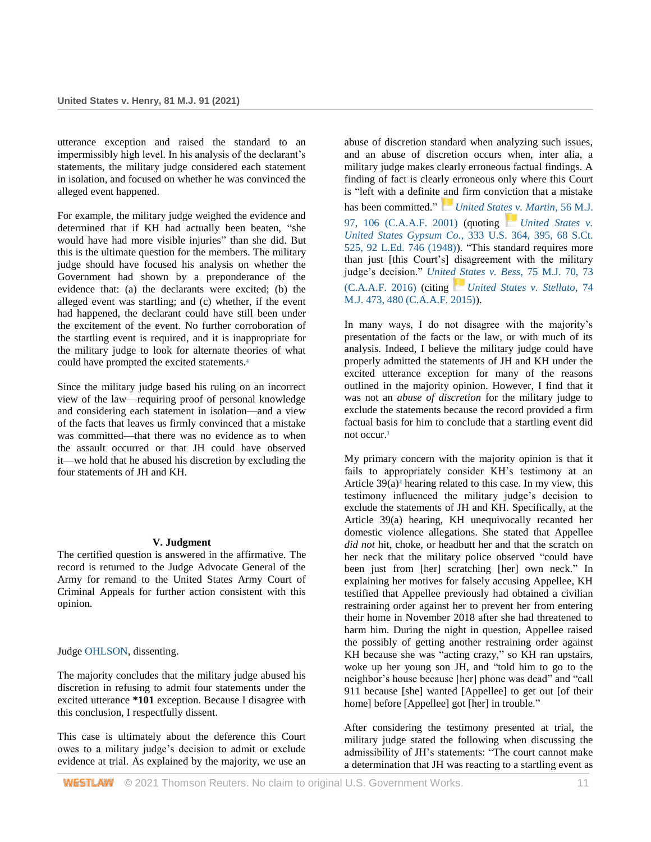utterance exception and raised the standard to an impermissibly high level. In his analysis of the declarant's statements, the military judge considered each statement in isolation, and focused on whether he was convinced the alleged event happened.

For example, the military judge weighed the evidence and determined that if KH had actually been beaten, "she would have had more visible injuries" than she did. But this is the ultimate question for the members. The military judge should have focused his analysis on whether the Government had shown by a preponderance of the evidence that: (a) the declarants were excited; (b) the alleged event was startling; and (c) whether, if the event had happened, the declarant could have still been under the excitement of the event. No further corroboration of the startling event is required, and it is inappropriate for the military judge to look for alternate theories of what could have prompted the excited statements.<sup>4</sup>

Since the military judge based his ruling on an incorrect view of the law—requiring proof of personal knowledge and considering each statement in isolation—and a view of the facts that leaves us firmly convinced that a mistake was committed—that there was no evidence as to when the assault occurred or that JH could have observed it—we hold that he abused his discretion by excluding the four statements of JH and KH.

## **V. Judgment**

The certified question is answered in the affirmative. The record is returned to the Judge Advocate General of the Army for remand to the United States Army Court of Criminal Appeals for further action consistent with this opinion.

Judge [OHLSON,](http://www.westlaw.com/Link/Document/FullText?findType=h&pubNum=176284&cite=0208480901&originatingDoc=Ief4a0b509c8611ebb59191cef82ec18e&refType=RQ&originationContext=document&vr=3.0&rs=cblt1.0&transitionType=DocumentItem&contextData=(sc.UserEnteredCitation)) dissenting.

The majority concludes that the military judge abused his discretion in refusing to admit four statements under the excited utterance **\*101** exception. Because I disagree with this conclusion, I respectfully dissent.

This case is ultimately about the deference this Court owes to a military judge's decision to admit or exclude evidence at trial. As explained by the majority, we use an

abuse of discretion standard when analyzing such issues, and an abuse of discretion occurs when, inter alia, a military judge makes clearly erroneous factual findings. A finding of fact is clearly erroneous only where this Court is "left with a definite and firm conviction that a mistake has been committed." *[United States v. Martin](http://www.westlaw.com/Link/Document/FullText?findType=Y&serNum=2001975973&pubNum=0000509&originatingDoc=Ief4a0b509c8611ebb59191cef82ec18e&refType=RP&fi=co_pp_sp_509_106&originationContext=document&vr=3.0&rs=cblt1.0&transitionType=DocumentItem&contextData=(sc.UserEnteredCitation)#co_pp_sp_509_106)*, 56 M.J. [97, 106 \(C.A.A.F. 2001\)](http://www.westlaw.com/Link/Document/FullText?findType=Y&serNum=2001975973&pubNum=0000509&originatingDoc=Ief4a0b509c8611ebb59191cef82ec18e&refType=RP&fi=co_pp_sp_509_106&originationContext=document&vr=3.0&rs=cblt1.0&transitionType=DocumentItem&contextData=(sc.UserEnteredCitation)#co_pp_sp_509_106) (quoting *[United States v.](http://www.westlaw.com/Link/Document/FullText?findType=Y&serNum=1948119024&pubNum=0000780&originatingDoc=Ief4a0b509c8611ebb59191cef82ec18e&refType=RP&fi=co_pp_sp_780_395&originationContext=document&vr=3.0&rs=cblt1.0&transitionType=DocumentItem&contextData=(sc.UserEnteredCitation)#co_pp_sp_780_395)  United States Gypsum Co.*[, 333 U.S. 364, 395, 68 S.Ct.](http://www.westlaw.com/Link/Document/FullText?findType=Y&serNum=1948119024&pubNum=0000780&originatingDoc=Ief4a0b509c8611ebb59191cef82ec18e&refType=RP&fi=co_pp_sp_780_395&originationContext=document&vr=3.0&rs=cblt1.0&transitionType=DocumentItem&contextData=(sc.UserEnteredCitation)#co_pp_sp_780_395)  [525, 92 L.Ed. 746 \(1948\)\)](http://www.westlaw.com/Link/Document/FullText?findType=Y&serNum=1948119024&pubNum=0000780&originatingDoc=Ief4a0b509c8611ebb59191cef82ec18e&refType=RP&fi=co_pp_sp_780_395&originationContext=document&vr=3.0&rs=cblt1.0&transitionType=DocumentItem&contextData=(sc.UserEnteredCitation)#co_pp_sp_780_395). "This standard requires more than just [this Court's] disagreement with the military judge's decision." *[United States v. Bess](http://www.westlaw.com/Link/Document/FullText?findType=Y&serNum=2037955644&pubNum=0000509&originatingDoc=Ief4a0b509c8611ebb59191cef82ec18e&refType=RP&fi=co_pp_sp_509_73&originationContext=document&vr=3.0&rs=cblt1.0&transitionType=DocumentItem&contextData=(sc.UserEnteredCitation)#co_pp_sp_509_73)*, 75 M.J. 70, 73 [\(C.A.A.F. 2016\)](http://www.westlaw.com/Link/Document/FullText?findType=Y&serNum=2037955644&pubNum=0000509&originatingDoc=Ief4a0b509c8611ebb59191cef82ec18e&refType=RP&fi=co_pp_sp_509_73&originationContext=document&vr=3.0&rs=cblt1.0&transitionType=DocumentItem&contextData=(sc.UserEnteredCitation)#co_pp_sp_509_73) (citing *[United States v. Stellato](http://www.westlaw.com/Link/Document/FullText?findType=Y&serNum=2036941518&pubNum=0000509&originatingDoc=Ief4a0b509c8611ebb59191cef82ec18e&refType=RP&fi=co_pp_sp_509_480&originationContext=document&vr=3.0&rs=cblt1.0&transitionType=DocumentItem&contextData=(sc.UserEnteredCitation)#co_pp_sp_509_480)*, 74 [M.J. 473, 480 \(C.A.A.F. 2015\)\)](http://www.westlaw.com/Link/Document/FullText?findType=Y&serNum=2036941518&pubNum=0000509&originatingDoc=Ief4a0b509c8611ebb59191cef82ec18e&refType=RP&fi=co_pp_sp_509_480&originationContext=document&vr=3.0&rs=cblt1.0&transitionType=DocumentItem&contextData=(sc.UserEnteredCitation)#co_pp_sp_509_480).

In many ways, I do not disagree with the majority's presentation of the facts or the law, or with much of its analysis. Indeed, I believe the military judge could have properly admitted the statements of JH and KH under the excited utterance exception for many of the reasons outlined in the majority opinion. However, I find that it was not an *abuse of discretion* for the military judge to exclude the statements because the record provided a firm factual basis for him to conclude that a startling event did not occur.**<sup>1</sup>**

My primary concern with the majority opinion is that it fails to appropriately consider KH's testimony at an Article 39(a)**<sup>2</sup>** hearing related to this case. In my view, this testimony influenced the military judge's decision to exclude the statements of JH and KH. Specifically, at the Article 39(a) hearing, KH unequivocally recanted her domestic violence allegations. She stated that Appellee *did not* hit, choke, or headbutt her and that the scratch on her neck that the military police observed "could have been just from [her] scratching [her] own neck." In explaining her motives for falsely accusing Appellee, KH testified that Appellee previously had obtained a civilian restraining order against her to prevent her from entering their home in November 2018 after she had threatened to harm him. During the night in question, Appellee raised the possibly of getting another restraining order against KH because she was "acting crazy," so KH ran upstairs, woke up her young son JH, and "told him to go to the neighbor's house because [her] phone was dead" and "call 911 because [she] wanted [Appellee] to get out [of their home] before [Appellee] got [her] in trouble."

After considering the testimony presented at trial, the military judge stated the following when discussing the admissibility of JH's statements: "The court cannot make a determination that JH was reacting to a startling event as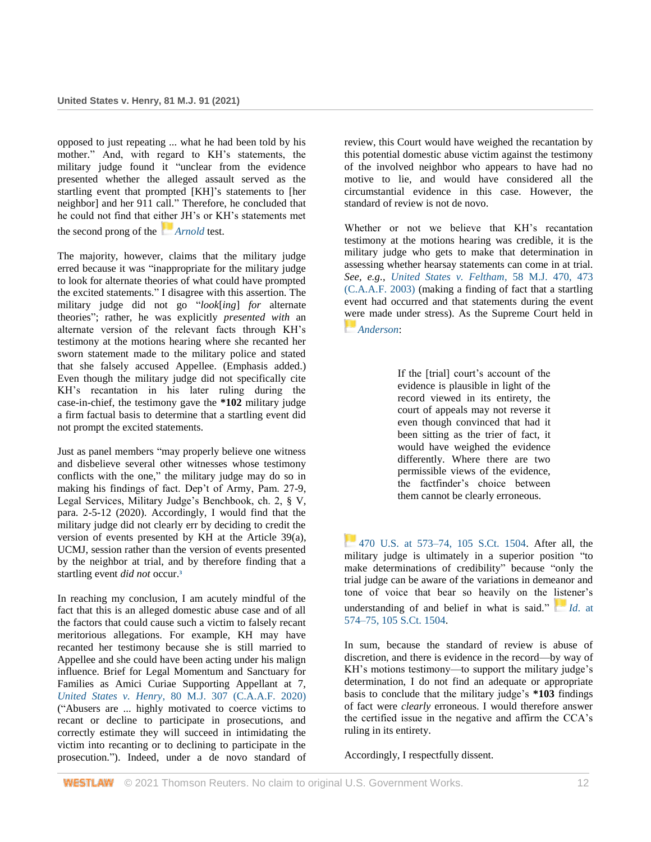opposed to just repeating ... what he had been told by his mother." And, with regard to KH's statements, the military judge found it "unclear from the evidence presented whether the alleged assault served as the startling event that prompted [KH]'s statements to [her neighbor] and her 911 call." Therefore, he concluded that he could not find that either JH's or KH's statements met the second prong of the *[Arnold](http://www.westlaw.com/Link/Document/FullText?findType=Y&serNum=1987118991&pubNum=0000509&originatingDoc=Ief4a0b509c8611ebb59191cef82ec18e&refType=RP&originationContext=document&vr=3.0&rs=cblt1.0&transitionType=DocumentItem&contextData=(sc.UserEnteredCitation))* test.

The majority, however, claims that the military judge erred because it was "inappropriate for the military judge to look for alternate theories of what could have prompted the excited statements." I disagree with this assertion. The military judge did not go "*look*[*ing*] *for* alternate theories"; rather, he was explicitly *presented with* an alternate version of the relevant facts through KH's testimony at the motions hearing where she recanted her sworn statement made to the military police and stated that she falsely accused Appellee. (Emphasis added.) Even though the military judge did not specifically cite KH's recantation in his later ruling during the case-in-chief, the testimony gave the **\*102** military judge a firm factual basis to determine that a startling event did not prompt the excited statements.

Just as panel members "may properly believe one witness and disbelieve several other witnesses whose testimony conflicts with the one," the military judge may do so in making his findings of fact. Dep't of Army, Pam. 27-9, Legal Services, Military Judge's Benchbook, ch. 2, § V, para. 2-5-12 (2020). Accordingly, I would find that the military judge did not clearly err by deciding to credit the version of events presented by KH at the Article 39(a), UCMJ, session rather than the version of events presented by the neighbor at trial, and by therefore finding that a startling event *did not* occur.**<sup>3</sup>**

In reaching my conclusion, I am acutely mindful of the fact that this is an alleged domestic abuse case and of all the factors that could cause such a victim to falsely recant meritorious allegations. For example, KH may have recanted her testimony because she is still married to Appellee and she could have been acting under his malign influence. Brief for Legal Momentum and Sanctuary for Families as Amici Curiae Supporting Appellant at 7, *United States v. Henry*[, 80 M.J. 307 \(C.A.A.F. 2020\)](http://www.westlaw.com/Link/Document/FullText?findType=Y&serNum=2051806431&pubNum=0000509&originatingDoc=Ief4a0b509c8611ebb59191cef82ec18e&refType=RP&originationContext=document&vr=3.0&rs=cblt1.0&transitionType=DocumentItem&contextData=(sc.UserEnteredCitation)) ("Abusers are ... highly motivated to coerce victims to recant or decline to participate in prosecutions, and correctly estimate they will succeed in intimidating the victim into recanting or to declining to participate in the prosecution."). Indeed, under a de novo standard of review, this Court would have weighed the recantation by this potential domestic abuse victim against the testimony of the involved neighbor who appears to have had no motive to lie, and would have considered all the circumstantial evidence in this case. However, the standard of review is not de novo.

Whether or not we believe that KH's recantation testimony at the motions hearing was credible, it is the military judge who gets to make that determination in assessing whether hearsay statements can come in at trial. *See, e.g.*, *[United States v. Feltham](http://www.westlaw.com/Link/Document/FullText?findType=Y&serNum=2003496905&pubNum=0000509&originatingDoc=Ief4a0b509c8611ebb59191cef82ec18e&refType=RP&fi=co_pp_sp_509_473&originationContext=document&vr=3.0&rs=cblt1.0&transitionType=DocumentItem&contextData=(sc.UserEnteredCitation)#co_pp_sp_509_473)*, 58 M.J. 470, 473 [\(C.A.A.F. 2003\)](http://www.westlaw.com/Link/Document/FullText?findType=Y&serNum=2003496905&pubNum=0000509&originatingDoc=Ief4a0b509c8611ebb59191cef82ec18e&refType=RP&fi=co_pp_sp_509_473&originationContext=document&vr=3.0&rs=cblt1.0&transitionType=DocumentItem&contextData=(sc.UserEnteredCitation)#co_pp_sp_509_473) (making a finding of fact that a startling event had occurred and that statements during the event were made under stress). As the Supreme Court held in *[Anderson](http://www.westlaw.com/Link/Document/FullText?findType=Y&serNum=1985114055&pubNum=0000780&originatingDoc=Ief4a0b509c8611ebb59191cef82ec18e&refType=RP&originationContext=document&vr=3.0&rs=cblt1.0&transitionType=DocumentItem&contextData=(sc.UserEnteredCitation))*:

> If the [trial] court's account of the evidence is plausible in light of the record viewed in its entirety, the court of appeals may not reverse it even though convinced that had it been sitting as the trier of fact, it would have weighed the evidence differently. Where there are two permissible views of the evidence, the factfinder's choice between them cannot be clearly erroneous.

[470 U.S. at 573–74, 105 S.Ct. 1504.](http://www.westlaw.com/Link/Document/FullText?findType=Y&serNum=1985114055&pubNum=0000780&originatingDoc=Ief4a0b509c8611ebb59191cef82ec18e&refType=RP&fi=co_pp_sp_780_573&originationContext=document&vr=3.0&rs=cblt1.0&transitionType=DocumentItem&contextData=(sc.UserEnteredCitation)#co_pp_sp_780_573) After all, the military judge is ultimately in a superior position "to make determinations of credibility" because "only the trial judge can be aware of the variations in demeanor and tone of voice that bear so heavily on the listener's understanding of and belief in what is said." *[I](https://1.next.westlaw.com/Link/RelatedInformation/Flag?documentGuid=Id4c3b2d89c1d11d991d0cc6b54f12d4d&transitionType=InlineKeyCiteFlags&originationContext=docHeaderFlag&Rank=0&ppcid=17a3b6326f044b1a84a80345d0fadcdf&contextData=(sc.UserEnteredCitation))d*[. at](http://www.westlaw.com/Link/Document/FullText?findType=Y&serNum=1985114055&pubNum=0000708&originatingDoc=Ief4a0b509c8611ebb59191cef82ec18e&refType=RP&originationContext=document&vr=3.0&rs=cblt1.0&transitionType=DocumentItem&contextData=(sc.UserEnteredCitation))  [574–75, 105 S.Ct. 1504.](http://www.westlaw.com/Link/Document/FullText?findType=Y&serNum=1985114055&pubNum=0000708&originatingDoc=Ief4a0b509c8611ebb59191cef82ec18e&refType=RP&originationContext=document&vr=3.0&rs=cblt1.0&transitionType=DocumentItem&contextData=(sc.UserEnteredCitation))

In sum, because the standard of review is abuse of discretion, and there is evidence in the record—by way of KH's motions testimony—to support the military judge's determination, I do not find an adequate or appropriate basis to conclude that the military judge's **\*103** findings of fact were *clearly* erroneous. I would therefore answer the certified issue in the negative and affirm the CCA's ruling in its entirety.

Accordingly, I respectfully dissent.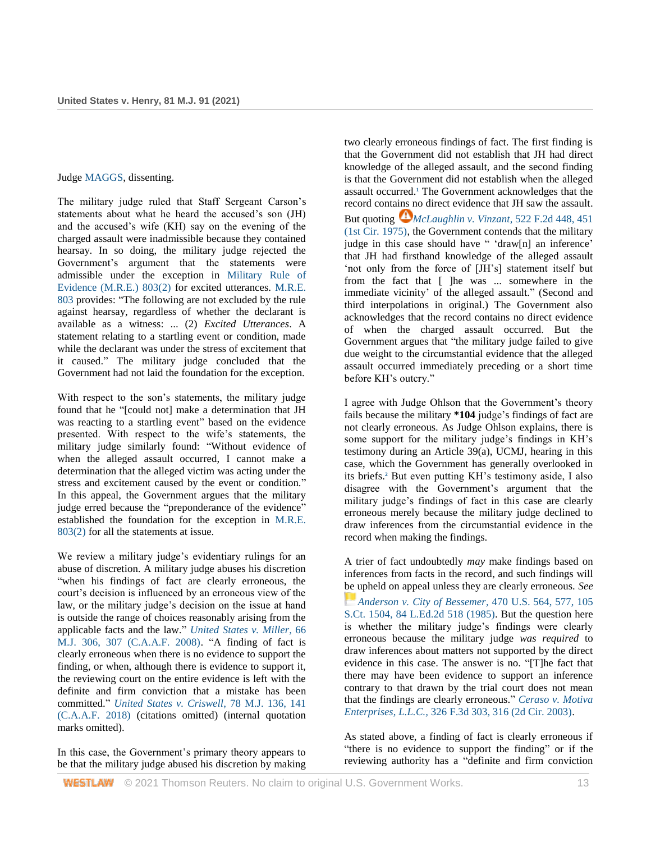### Judge [MAGGS,](http://www.westlaw.com/Link/Document/FullText?findType=h&pubNum=176284&cite=0457549401&originatingDoc=Ief4a0b509c8611ebb59191cef82ec18e&refType=RQ&originationContext=document&vr=3.0&rs=cblt1.0&transitionType=DocumentItem&contextData=(sc.UserEnteredCitation)) dissenting.

The military judge ruled that Staff Sergeant Carson's statements about what he heard the accused's son (JH) and the accused's wife (KH) say on the evening of the charged assault were inadmissible because they contained hearsay. In so doing, the military judge rejected the Government's argument that the statements were admissible under the exception in [Military Rule of](http://www.westlaw.com/Link/Document/FullText?findType=Y&serNum=0471371908&pubNum=0214739&originatingDoc=Ief4a0b509c8611ebb59191cef82ec18e&refType=TS&originationContext=document&vr=3.0&rs=cblt1.0&transitionType=DocumentItem&contextData=(sc.UserEnteredCitation))  [Evidence \(M.R.E.\) 803\(2\)](http://www.westlaw.com/Link/Document/FullText?findType=Y&serNum=0471371908&pubNum=0214739&originatingDoc=Ief4a0b509c8611ebb59191cef82ec18e&refType=TS&originationContext=document&vr=3.0&rs=cblt1.0&transitionType=DocumentItem&contextData=(sc.UserEnteredCitation)) for excited utterances. [M.R.E.](http://www.westlaw.com/Link/Document/FullText?findType=Y&pubNum=0214739&cite=MRE803&originatingDoc=Ief4a0b509c8611ebb59191cef82ec18e&refType=TS&originationContext=document&vr=3.0&rs=cblt1.0&transitionType=DocumentItem&contextData=(sc.UserEnteredCitation))  [803](http://www.westlaw.com/Link/Document/FullText?findType=Y&pubNum=0214739&cite=MRE803&originatingDoc=Ief4a0b509c8611ebb59191cef82ec18e&refType=TS&originationContext=document&vr=3.0&rs=cblt1.0&transitionType=DocumentItem&contextData=(sc.UserEnteredCitation)) provides: "The following are not excluded by the rule against hearsay, regardless of whether the declarant is available as a witness: ... (2) *Excited Utterances*. A statement relating to a startling event or condition, made while the declarant was under the stress of excitement that it caused." The military judge concluded that the Government had not laid the foundation for the exception.

With respect to the son's statements, the military judge found that he "[could not] make a determination that JH was reacting to a startling event" based on the evidence presented. With respect to the wife's statements, the military judge similarly found: "Without evidence of when the alleged assault occurred, I cannot make a determination that the alleged victim was acting under the stress and excitement caused by the event or condition." In this appeal, the Government argues that the military judge erred because the "preponderance of the evidence" established the foundation for the exception in [M.R.E.](http://www.westlaw.com/Link/Document/FullText?findType=Y&serNum=0471371908&pubNum=0214739&originatingDoc=Ief4a0b509c8611ebb59191cef82ec18e&refType=TS&originationContext=document&vr=3.0&rs=cblt1.0&transitionType=DocumentItem&contextData=(sc.UserEnteredCitation))  [803\(2\)](http://www.westlaw.com/Link/Document/FullText?findType=Y&serNum=0471371908&pubNum=0214739&originatingDoc=Ief4a0b509c8611ebb59191cef82ec18e&refType=TS&originationContext=document&vr=3.0&rs=cblt1.0&transitionType=DocumentItem&contextData=(sc.UserEnteredCitation)) for all the statements at issue.

We review a military judge's evidentiary rulings for an abuse of discretion. A military judge abuses his discretion "when his findings of fact are clearly erroneous, the court's decision is influenced by an erroneous view of the law, or the military judge's decision on the issue at hand is outside the range of choices reasonably arising from the applicable facts and the law." *[United States v. Miller](http://www.westlaw.com/Link/Document/FullText?findType=Y&serNum=2016146446&pubNum=0000509&originatingDoc=Ief4a0b509c8611ebb59191cef82ec18e&refType=RP&fi=co_pp_sp_509_307&originationContext=document&vr=3.0&rs=cblt1.0&transitionType=DocumentItem&contextData=(sc.UserEnteredCitation)#co_pp_sp_509_307)*, 66 [M.J. 306, 307 \(C.A.A.F. 2008\).](http://www.westlaw.com/Link/Document/FullText?findType=Y&serNum=2016146446&pubNum=0000509&originatingDoc=Ief4a0b509c8611ebb59191cef82ec18e&refType=RP&fi=co_pp_sp_509_307&originationContext=document&vr=3.0&rs=cblt1.0&transitionType=DocumentItem&contextData=(sc.UserEnteredCitation)#co_pp_sp_509_307) "A finding of fact is clearly erroneous when there is no evidence to support the finding, or when, although there is evidence to support it, the reviewing court on the entire evidence is left with the definite and firm conviction that a mistake has been committed." *[United States v. Criswell](http://www.westlaw.com/Link/Document/FullText?findType=Y&serNum=2046052720&pubNum=0000509&originatingDoc=Ief4a0b509c8611ebb59191cef82ec18e&refType=RP&fi=co_pp_sp_509_141&originationContext=document&vr=3.0&rs=cblt1.0&transitionType=DocumentItem&contextData=(sc.UserEnteredCitation)#co_pp_sp_509_141)*, 78 M.J. 136, 141 [\(C.A.A.F. 2018\)](http://www.westlaw.com/Link/Document/FullText?findType=Y&serNum=2046052720&pubNum=0000509&originatingDoc=Ief4a0b509c8611ebb59191cef82ec18e&refType=RP&fi=co_pp_sp_509_141&originationContext=document&vr=3.0&rs=cblt1.0&transitionType=DocumentItem&contextData=(sc.UserEnteredCitation)#co_pp_sp_509_141) (citations omitted) (internal quotation marks omitted).

In this case, the Government's primary theory appears to be that the military judge abused his discretion by making

two clearly erroneous findings of fact. The first finding is that the Government did not establish that JH had direct knowledge of the alleged assault, and the second finding is that the Government did not establish when the alleged assault occurred.**<sup>1</sup>** The Government acknowledges that the record contains no direct evidence that JH saw the assault. But quoting *[McLaughlin v. Vinzant](http://www.westlaw.com/Link/Document/FullText?findType=Y&serNum=1975141938&pubNum=0000350&originatingDoc=Ief4a0b509c8611ebb59191cef82ec18e&refType=RP&fi=co_pp_sp_350_451&originationContext=document&vr=3.0&rs=cblt1.0&transitionType=DocumentItem&contextData=(sc.UserEnteredCitation)#co_pp_sp_350_451)*, 522 F.2d 448, 451 [\(1st Cir. 1975\),](http://www.westlaw.com/Link/Document/FullText?findType=Y&serNum=1975141938&pubNum=0000350&originatingDoc=Ief4a0b509c8611ebb59191cef82ec18e&refType=RP&fi=co_pp_sp_350_451&originationContext=document&vr=3.0&rs=cblt1.0&transitionType=DocumentItem&contextData=(sc.UserEnteredCitation)#co_pp_sp_350_451) the Government contends that the military judge in this case should have " 'draw[n] an inference' that JH had firsthand knowledge of the alleged assault 'not only from the force of [JH's] statement itself but from the fact that [ ]he was ... somewhere in the immediate vicinity' of the alleged assault." (Second and third interpolations in original.) The Government also acknowledges that the record contains no direct evidence of when the charged assault occurred. But the Government argues that "the military judge failed to give due weight to the circumstantial evidence that the alleged assault occurred immediately preceding or a short time before KH's outcry."

I agree with Judge Ohlson that the Government's theory fails because the military **\*104** judge's findings of fact are not clearly erroneous. As Judge Ohlson explains, there is some support for the military judge's findings in KH's testimony during an Article 39(a), UCMJ, hearing in this case, which the Government has generally overlooked in its briefs.**<sup>2</sup>** But even putting KH's testimony aside, I also disagree with the Government's argument that the military judge's findings of fact in this case are clearly erroneous merely because the military judge declined to draw inferences from the circumstantial evidence in the record when making the findings.

A trier of fact undoubtedly *may* make findings based on inferences from facts in the record, and such findings will be upheld on appeal unless they are clearly erroneous. *See [Anderson v. City of Bessemer](http://www.westlaw.com/Link/Document/FullText?findType=Y&serNum=1985114055&pubNum=0000780&originatingDoc=Ief4a0b509c8611ebb59191cef82ec18e&refType=RP&fi=co_pp_sp_780_577&originationContext=document&vr=3.0&rs=cblt1.0&transitionType=DocumentItem&contextData=(sc.UserEnteredCitation)#co_pp_sp_780_577)*, 470 U.S. 564, 577, 105 [S.Ct. 1504, 84 L.Ed.2d 518 \(1985\).](http://www.westlaw.com/Link/Document/FullText?findType=Y&serNum=1985114055&pubNum=0000780&originatingDoc=Ief4a0b509c8611ebb59191cef82ec18e&refType=RP&fi=co_pp_sp_780_577&originationContext=document&vr=3.0&rs=cblt1.0&transitionType=DocumentItem&contextData=(sc.UserEnteredCitation)#co_pp_sp_780_577) But the question here is whether the military judge's findings were clearly erroneous because the military judge *was required* to draw inferences about matters not supported by the direct evidence in this case. The answer is no. "[T]he fact that there may have been evidence to support an inference contrary to that drawn by the trial court does not mean that the findings are clearly erroneous." *[Ceraso v. Motiva](http://www.westlaw.com/Link/Document/FullText?findType=Y&serNum=2003275037&pubNum=0000506&originatingDoc=Ief4a0b509c8611ebb59191cef82ec18e&refType=RP&fi=co_pp_sp_506_316&originationContext=document&vr=3.0&rs=cblt1.0&transitionType=DocumentItem&contextData=(sc.UserEnteredCitation)#co_pp_sp_506_316)  Enterprises*, *L.L.C.,* 326 [F.3d 303, 316 \(2d Cir. 2003\).](http://www.westlaw.com/Link/Document/FullText?findType=Y&serNum=2003275037&pubNum=0000506&originatingDoc=Ief4a0b509c8611ebb59191cef82ec18e&refType=RP&fi=co_pp_sp_506_316&originationContext=document&vr=3.0&rs=cblt1.0&transitionType=DocumentItem&contextData=(sc.UserEnteredCitation)#co_pp_sp_506_316)

As stated above, a finding of fact is clearly erroneous if "there is no evidence to support the finding" or if the reviewing authority has a "definite and firm conviction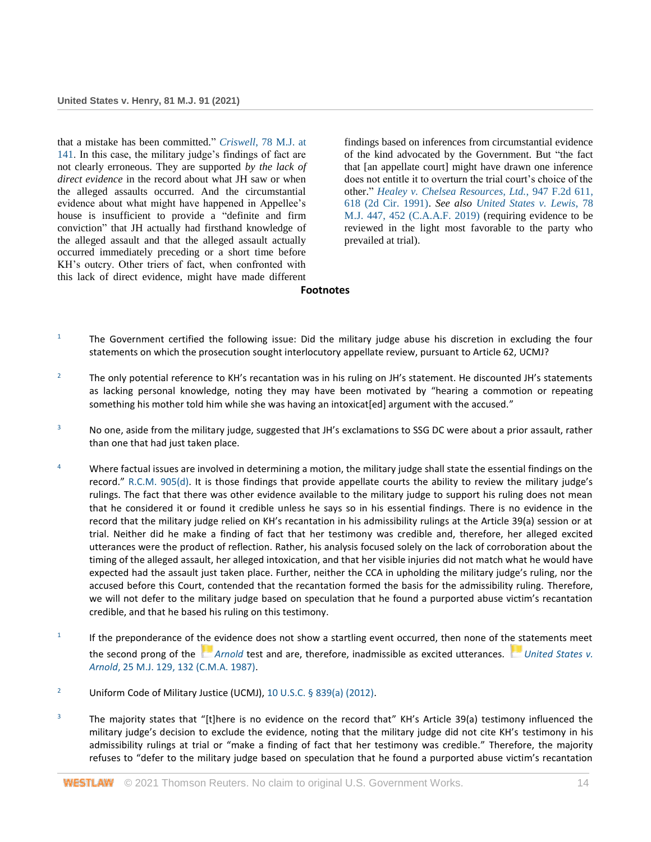that a mistake has been committed." *Criswell*[, 78 M.J. at](http://www.westlaw.com/Link/Document/FullText?findType=Y&serNum=2046052720&pubNum=0000509&originatingDoc=Ief4a0b509c8611ebb59191cef82ec18e&refType=RP&fi=co_pp_sp_509_141&originationContext=document&vr=3.0&rs=cblt1.0&transitionType=DocumentItem&contextData=(sc.UserEnteredCitation)#co_pp_sp_509_141)  [141.](http://www.westlaw.com/Link/Document/FullText?findType=Y&serNum=2046052720&pubNum=0000509&originatingDoc=Ief4a0b509c8611ebb59191cef82ec18e&refType=RP&fi=co_pp_sp_509_141&originationContext=document&vr=3.0&rs=cblt1.0&transitionType=DocumentItem&contextData=(sc.UserEnteredCitation)#co_pp_sp_509_141) In this case, the military judge's findings of fact are not clearly erroneous. They are supported *by the lack of direct evidence* in the record about what JH saw or when the alleged assaults occurred. And the circumstantial evidence about what might have happened in Appellee's house is insufficient to provide a "definite and firm conviction" that JH actually had firsthand knowledge of the alleged assault and that the alleged assault actually occurred immediately preceding or a short time before KH's outcry. Other triers of fact, when confronted with this lack of direct evidence, might have made different

findings based on inferences from circumstantial evidence of the kind advocated by the Government. But "the fact that [an appellate court] might have drawn one inference does not entitle it to overturn the trial court's choice of the other." *[Healey v. Chelsea Resources, Ltd.](http://www.westlaw.com/Link/Document/FullText?findType=Y&serNum=1991173919&pubNum=0000350&originatingDoc=Ief4a0b509c8611ebb59191cef82ec18e&refType=RP&fi=co_pp_sp_350_618&originationContext=document&vr=3.0&rs=cblt1.0&transitionType=DocumentItem&contextData=(sc.UserEnteredCitation)#co_pp_sp_350_618)*, 947 F.2d 611, [618 \(2d Cir. 1991\).](http://www.westlaw.com/Link/Document/FullText?findType=Y&serNum=1991173919&pubNum=0000350&originatingDoc=Ief4a0b509c8611ebb59191cef82ec18e&refType=RP&fi=co_pp_sp_350_618&originationContext=document&vr=3.0&rs=cblt1.0&transitionType=DocumentItem&contextData=(sc.UserEnteredCitation)#co_pp_sp_350_618) *See also [United States v. Lewis](http://www.westlaw.com/Link/Document/FullText?findType=Y&serNum=2048401831&pubNum=0000509&originatingDoc=Ief4a0b509c8611ebb59191cef82ec18e&refType=RP&fi=co_pp_sp_509_452&originationContext=document&vr=3.0&rs=cblt1.0&transitionType=DocumentItem&contextData=(sc.UserEnteredCitation)#co_pp_sp_509_452)*, 78 [M.J. 447, 452 \(C.A.A.F. 2019\)](http://www.westlaw.com/Link/Document/FullText?findType=Y&serNum=2048401831&pubNum=0000509&originatingDoc=Ief4a0b509c8611ebb59191cef82ec18e&refType=RP&fi=co_pp_sp_509_452&originationContext=document&vr=3.0&rs=cblt1.0&transitionType=DocumentItem&contextData=(sc.UserEnteredCitation)#co_pp_sp_509_452) (requiring evidence to be reviewed in the light most favorable to the party who prevailed at trial).

### **Footnotes**

- $1$  The Government certified the following issue: Did the military judge abuse his discretion in excluding the four statements on which the prosecution sought interlocutory appellate review, pursuant to Article 62, UCMJ?
- <sup>2</sup> The only potential reference to KH's recantation was in his ruling on JH's statement. He discounted JH's statements as lacking personal knowledge, noting they may have been motivated by "hearing a commotion or repeating something his mother told him while she was having an intoxicat[ed] argument with the accused."
- <sup>3</sup> No one, aside from the military judge, suggested that JH's exclamations to SSG DC were about a prior assault, rather than one that had just taken place.
- <sup>4</sup> Where factual issues are involved in determining a motion, the military judge shall state the essential findings on the record." [R.C.M. 905\(d\)](http://www.westlaw.com/Link/Document/FullText?findType=Y&serNum=0471371360&pubNum=0214741&originatingDoc=Ief4a0b509c8611ebb59191cef82ec18e&refType=TS&originationContext=document&vr=3.0&rs=cblt1.0&transitionType=DocumentItem&contextData=(sc.UserEnteredCitation)). It is those findings that provide appellate courts the ability to review the military judge's rulings. The fact that there was other evidence available to the military judge to support his ruling does not mean that he considered it or found it credible unless he says so in his essential findings. There is no evidence in the record that the military judge relied on KH's recantation in his admissibility rulings at the Article 39(a) session or at trial. Neither did he make a finding of fact that her testimony was credible and, therefore, her alleged excited utterances were the product of reflection. Rather, his analysis focused solely on the lack of corroboration about the timing of the alleged assault, her alleged intoxication, and that her visible injuries did not match what he would have expected had the assault just taken place. Further, neither the CCA in upholding the military judge's ruling, nor the accused before this Court, contended that the recantation formed the basis for the admissibility ruling. Therefore, we will not defer to the military judge based on speculation that he found a purported abuse victim's recantation credible, and that he based his ruling on this testimony.
- 1 If the preponderance of the evidence does not show a startling event occurred, then none of the statements meet the second prong of the *[Arnold](http://www.westlaw.com/Link/Document/FullText?findType=Y&serNum=1987118991&pubNum=0000509&originatingDoc=Ief4a0b509c8611ebb59191cef82ec18e&refType=RP&originationContext=document&vr=3.0&rs=cblt1.0&transitionType=DocumentItem&contextData=(sc.UserEnteredCitation))* test and are, therefore, inadmissible as excited utterances. *[United States v.](http://www.westlaw.com/Link/Document/FullText?findType=Y&serNum=1987118991&pubNum=0000509&originatingDoc=Ief4a0b509c8611ebb59191cef82ec18e&refType=RP&fi=co_pp_sp_509_132&originationContext=document&vr=3.0&rs=cblt1.0&transitionType=DocumentItem&contextData=(sc.UserEnteredCitation)#co_pp_sp_509_132)  Arnold*[, 25 M.J. 129, 132 \(C.M.A. 1987\).](http://www.westlaw.com/Link/Document/FullText?findType=Y&serNum=1987118991&pubNum=0000509&originatingDoc=Ief4a0b509c8611ebb59191cef82ec18e&refType=RP&fi=co_pp_sp_509_132&originationContext=document&vr=3.0&rs=cblt1.0&transitionType=DocumentItem&contextData=(sc.UserEnteredCitation)#co_pp_sp_509_132)
- <sup>2</sup> Uniform Code of Military Justice (UCMJ), [10 U.S.C. § 839\(a\) \(2012\).](http://www.westlaw.com/Link/Document/FullText?findType=L&pubNum=1000546&cite=10USCAS839&originatingDoc=Ief4a0b509c8611ebb59191cef82ec18e&refType=RB&originationContext=document&vr=3.0&rs=cblt1.0&transitionType=DocumentItem&contextData=(sc.UserEnteredCitation)#co_pp_8b3b0000958a4)
- <sup>3</sup> The majority states that "[t]here is no evidence on the record that" KH's Article 39(a) testimony influenced the military judge's decision to exclude the evidence, noting that the military judge did not cite KH's testimony in his admissibility rulings at trial or "make a finding of fact that her testimony was credible." Therefore, the majority refuses to "defer to the military judge based on speculation that he found a purported abuse victim's recantation